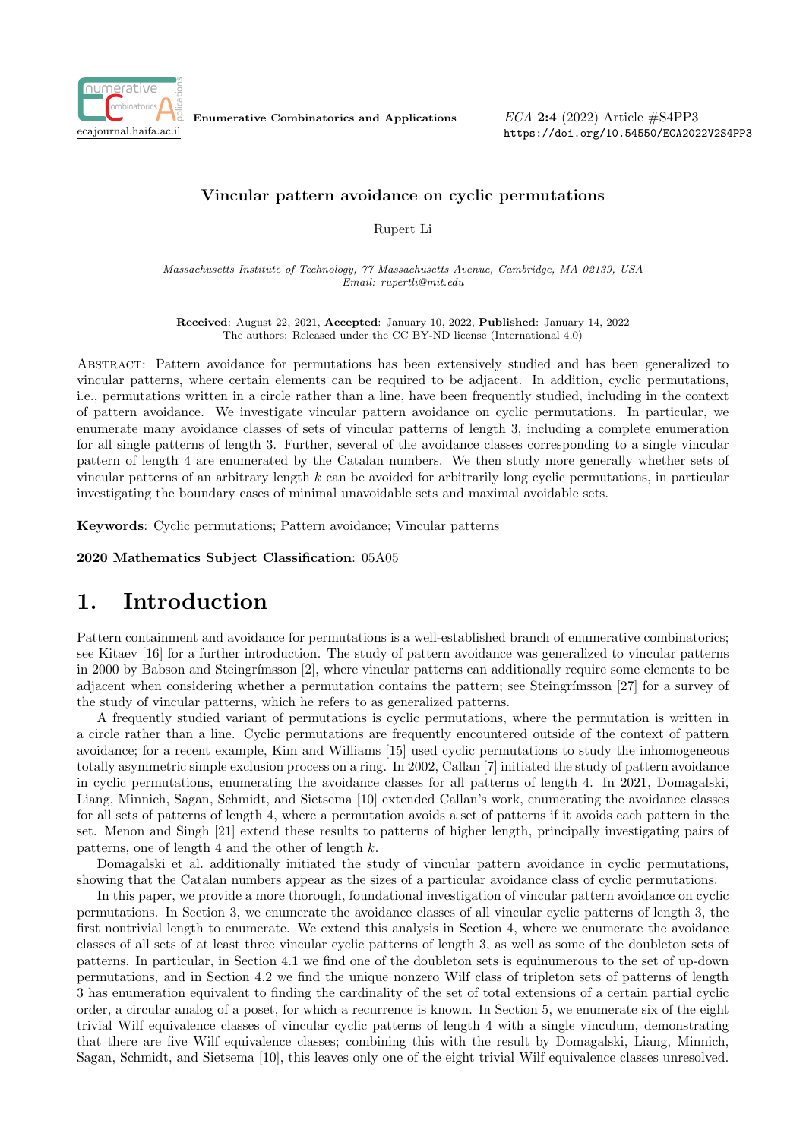

Enumerative Combinatorics and Applications

 $ECA$  2:4 (2022) Article  $\#S4PP3$ https://doi.org/10.54550/ECA2022V2S4PP3

### Vincular pattern avoidance on cyclic permutations

Rupert Li

Massachusetts Institute of Technology, 77 Massachusetts Avenue, Cambridge, MA 02139, USA Email: rupertli@mit.edu

Received: August 22, 2021, Accepted: January 10, 2022, Published: January 14, 2022 The authors: Released under the CC BY-ND license (International 4.0)

Abstract: Pattern avoidance for permutations has been extensively studied and has been generalized to vincular patterns, where certain elements can be required to be adjacent. In addition, cyclic permutations, i.e., permutations written in a circle rather than a line, have been frequently studied, including in the context of pattern avoidance. We investigate vincular pattern avoidance on cyclic permutations. In particular, we enumerate many avoidance classes of sets of vincular patterns of length 3, including a complete enumeration for all single patterns of length 3. Further, several of the avoidance classes corresponding to a single vincular pattern of length 4 are enumerated by the Catalan numbers. We then study more generally whether sets of vincular patterns of an arbitrary length k can be avoided for arbitrarily long cyclic permutations, in particular investigating the boundary cases of minimal unavoidable sets and maximal avoidable sets.

Keywords: Cyclic permutations; Pattern avoidance; Vincular patterns

2020 Mathematics Subject Classification: 05A05

# 1. Introduction

Pattern containment and avoidance for permutations is a well-established branch of enumerative combinatorics; see Kitaev [16] for a further introduction. The study of pattern avoidance was generalized to vincular patterns in 2000 by Babson and Steingrímsson [2], where vincular patterns can additionally require some elements to be adjacent when considering whether a permutation contains the pattern; see Steingrímsson [27] for a survey of the study of vincular patterns, which he refers to as generalized patterns.

A frequently studied variant of permutations is cyclic permutations, where the permutation is written in a circle rather than a line. Cyclic permutations are frequently encountered outside of the context of pattern avoidance; for a recent example, Kim and Williams [15] used cyclic permutations to study the inhomogeneous totally asymmetric simple exclusion process on a ring. In 2002, Callan [7] initiated the study of pattern avoidance in cyclic permutations, enumerating the avoidance classes for all patterns of length 4. In 2021, Domagalski, Liang, Minnich, Sagan, Schmidt, and Sietsema [10] extended Callan's work, enumerating the avoidance classes for all sets of patterns of length 4, where a permutation avoids a set of patterns if it avoids each pattern in the set. Menon and Singh [21] extend these results to patterns of higher length, principally investigating pairs of patterns, one of length 4 and the other of length k.

Domagalski et al. additionally initiated the study of vincular pattern avoidance in cyclic permutations, showing that the Catalan numbers appear as the sizes of a particular avoidance class of cyclic permutations.

In this paper, we provide a more thorough, foundational investigation of vincular pattern avoidance on cyclic permutations. In Section 3, we enumerate the avoidance classes of all vincular cyclic patterns of length 3, the first nontrivial length to enumerate. We extend this analysis in Section 4, where we enumerate the avoidance classes of all sets of at least three vincular cyclic patterns of length 3, as well as some of the doubleton sets of patterns. In particular, in Section 4.1 we find one of the doubleton sets is equinumerous to the set of up-down permutations, and in Section 4.2 we find the unique nonzero Wilf class of tripleton sets of patterns of length 3 has enumeration equivalent to finding the cardinality of the set of total extensions of a certain partial cyclic order, a circular analog of a poset, for which a recurrence is known. In Section 5, we enumerate six of the eight trivial Wilf equivalence classes of vincular cyclic patterns of length 4 with a single vinculum, demonstrating that there are five Wilf equivalence classes; combining this with the result by Domagalski, Liang, Minnich, Sagan, Schmidt, and Sietsema [10], this leaves only one of the eight trivial Wilf equivalence classes unresolved.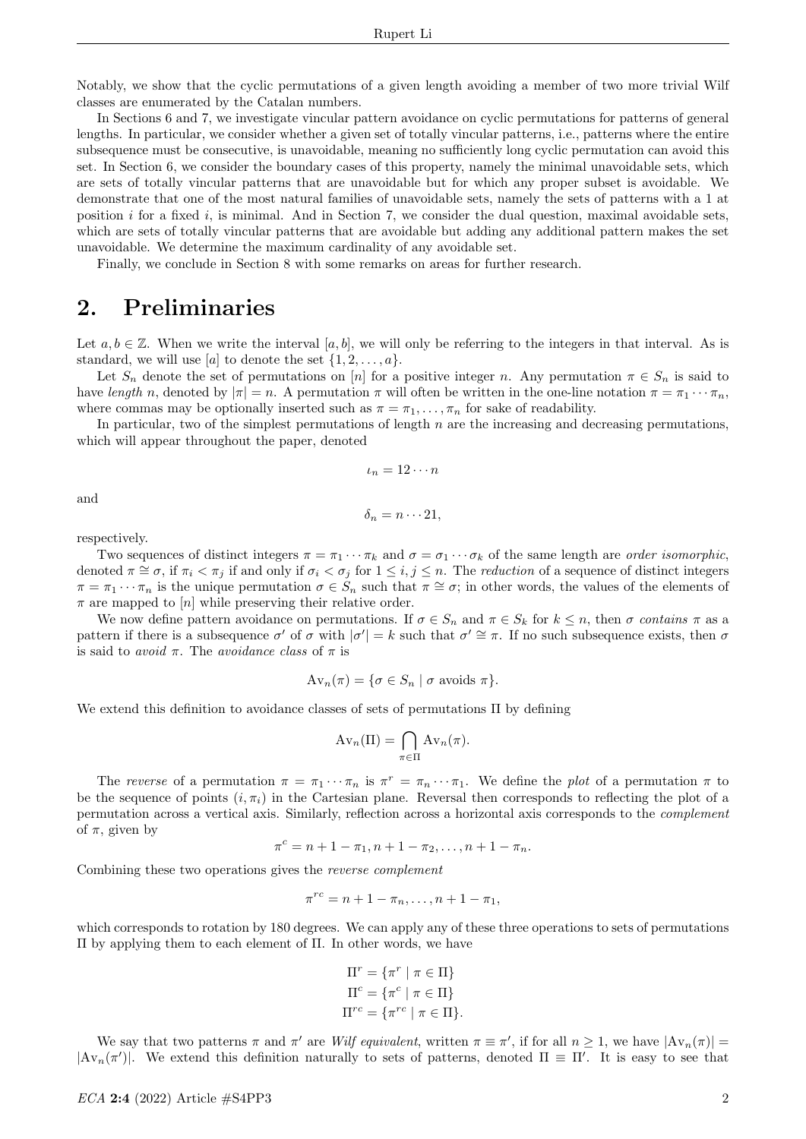Notably, we show that the cyclic permutations of a given length avoiding a member of two more trivial Wilf classes are enumerated by the Catalan numbers.

In Sections 6 and 7, we investigate vincular pattern avoidance on cyclic permutations for patterns of general lengths. In particular, we consider whether a given set of totally vincular patterns, i.e., patterns where the entire subsequence must be consecutive, is unavoidable, meaning no sufficiently long cyclic permutation can avoid this set. In Section 6, we consider the boundary cases of this property, namely the minimal unavoidable sets, which are sets of totally vincular patterns that are unavoidable but for which any proper subset is avoidable. We demonstrate that one of the most natural families of unavoidable sets, namely the sets of patterns with a 1 at position i for a fixed i, is minimal. And in Section 7, we consider the dual question, maximal avoidable sets, which are sets of totally vincular patterns that are avoidable but adding any additional pattern makes the set unavoidable. We determine the maximum cardinality of any avoidable set.

Finally, we conclude in Section 8 with some remarks on areas for further research.

# 2. Preliminaries

Let  $a, b \in \mathbb{Z}$ . When we write the interval [a, b], we will only be referring to the integers in that interval. As is standard, we will use [a] to denote the set  $\{1, 2, \ldots, a\}$ .

Let  $S_n$  denote the set of permutations on [n] for a positive integer n. Any permutation  $\pi \in S_n$  is said to have length n, denoted by  $|\pi| = n$ . A permutation  $\pi$  will often be written in the one-line notation  $\pi = \pi_1 \cdots \pi_n$ , where commas may be optionally inserted such as  $\pi = \pi_1, \ldots, \pi_n$  for sake of readability.

In particular, two of the simplest permutations of length  $n$  are the increasing and decreasing permutations, which will appear throughout the paper, denoted

$$
\iota_n=12\cdots n
$$

and

$$
\delta_n = n \cdots 21,
$$

respectively.

Two sequences of distinct integers  $\pi = \pi_1 \cdots \pi_k$  and  $\sigma = \sigma_1 \cdots \sigma_k$  of the same length are *order isomorphic*, denoted  $\pi \cong \sigma$ , if  $\pi_i < \pi_j$  if and only if  $\sigma_i < \sigma_j$  for  $1 \leq i, j \leq n$ . The *reduction* of a sequence of distinct integers  $\pi = \pi_1 \cdots \pi_n$  is the unique permutation  $\sigma \in S_n$  such that  $\pi \cong \sigma$ ; in other words, the values of the elements of  $\pi$  are mapped to [n] while preserving their relative order.

We now define pattern avoidance on permutations. If  $\sigma \in S_n$  and  $\pi \in S_k$  for  $k \leq n$ , then  $\sigma$  contains  $\pi$  as a pattern if there is a subsequence  $\sigma'$  of  $\sigma$  with  $|\sigma'| = k$  such that  $\sigma' \cong \pi$ . If no such subsequence exists, then  $\sigma$ is said to avoid  $\pi$ . The avoidance class of  $\pi$  is

$$
Av_n(\pi) = \{\sigma \in S_n \mid \sigma \text{ avoids } \pi\}.
$$

We extend this definition to avoidance classes of sets of permutations Π by defining

$$
Av_n(\Pi) = \bigcap_{\pi \in \Pi} Av_n(\pi).
$$

The reverse of a permutation  $\pi = \pi_1 \cdots \pi_n$  is  $\pi^r = \pi_n \cdots \pi_1$ . We define the *plot* of a permutation  $\pi$  to be the sequence of points  $(i, \pi_i)$  in the Cartesian plane. Reversal then corresponds to reflecting the plot of a permutation across a vertical axis. Similarly, reflection across a horizontal axis corresponds to the complement of  $\pi$ , given by

$$
\pi^c = n + 1 - \pi_1, n + 1 - \pi_2, \dots, n + 1 - \pi_n.
$$

Combining these two operations gives the reverse complement

$$
\pi^{rc} = n + 1 - \pi_n, \dots, n + 1 - \pi_1,
$$

which corresponds to rotation by 180 degrees. We can apply any of these three operations to sets of permutations Π by applying them to each element of Π. In other words, we have

$$
\Pi^r = \{ \pi^r \mid \pi \in \Pi \}
$$

$$
\Pi^c = \{ \pi^c \mid \pi \in \Pi \}
$$

$$
\Pi^{rc} = \{ \pi^{rc} \mid \pi \in \Pi \}.
$$

We say that two patterns  $\pi$  and  $\pi'$  are Wilf equivalent, written  $\pi \equiv \pi'$ , if for all  $n \geq 1$ , we have  $|\text{Av}_n(\pi)| =$  $|\text{Av}_n(\pi')|$ . We extend this definition naturally to sets of patterns, denoted  $\Pi \equiv \Pi'$ . It is easy to see that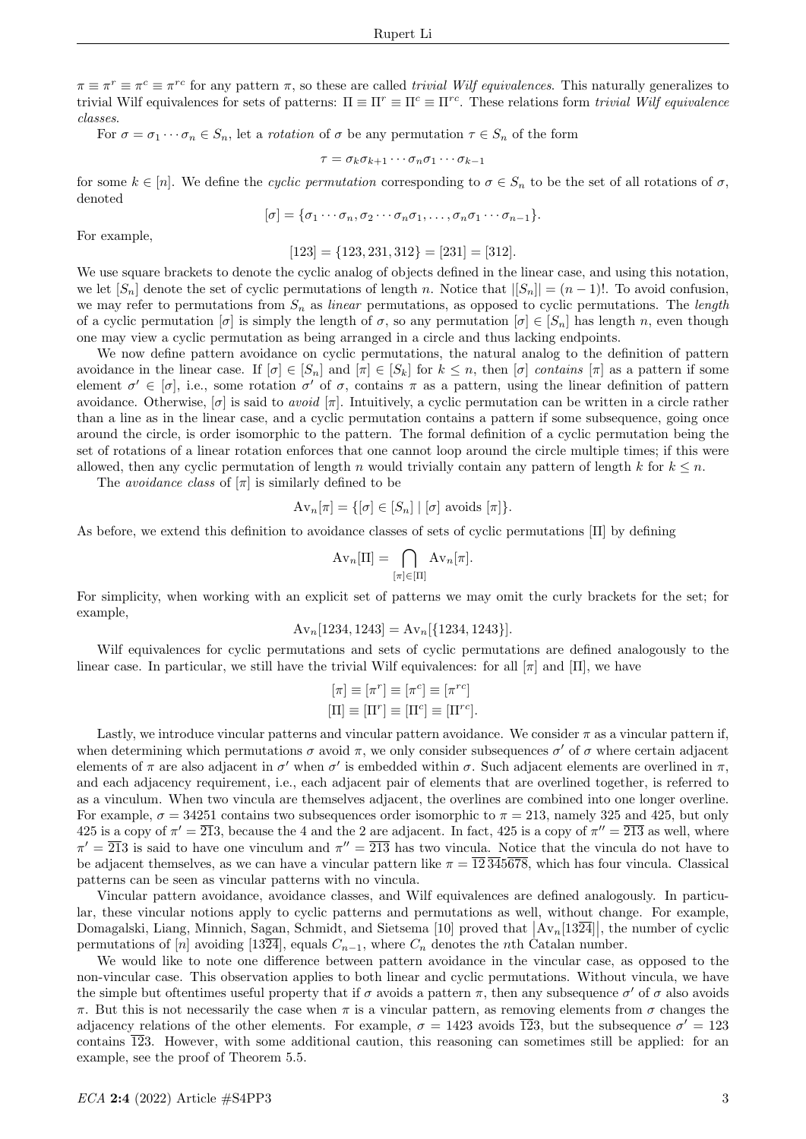$\pi \equiv \pi^r \equiv \pi^{rc}$  for any pattern  $\pi$ , so these are called *trivial Wilf equivalences*. This naturally generalizes to trivial Wilf equivalences for sets of patterns:  $\Pi \equiv \Pi^r \equiv \Pi^{rc} \equiv \Pi^{rc}$ . These relations form *trivial Wilf equivalence* classes.

For  $\sigma = \sigma_1 \cdots \sigma_n \in S_n$ , let a *rotation* of  $\sigma$  be any permutation  $\tau \in S_n$  of the form

$$
\tau = \sigma_k \sigma_{k+1} \cdots \sigma_n \sigma_1 \cdots \sigma_{k-1}
$$

for some  $k \in [n]$ . We define the *cyclic permutation* corresponding to  $\sigma \in S_n$  to be the set of all rotations of  $\sigma$ , denoted

$$
[\sigma] = {\sigma_1 \cdots \sigma_n, \sigma_2 \cdots \sigma_n \sigma_1, \ldots, \sigma_n \sigma_1 \cdots \sigma_{n-1}}.
$$

For example,

 $[123] = \{123, 231, 312\} = [231] = [312].$ 

We use square brackets to denote the cyclic analog of objects defined in the linear case, and using this notation, we let  $[S_n]$  denote the set of cyclic permutations of length n. Notice that  $|[S_n]| = (n-1)!$ . To avoid confusion, we may refer to permutations from  $S_n$  as linear permutations, as opposed to cyclic permutations. The length of a cyclic permutation  $[\sigma]$  is simply the length of  $\sigma$ , so any permutation  $[\sigma] \in [S_n]$  has length n, even though one may view a cyclic permutation as being arranged in a circle and thus lacking endpoints.

We now define pattern avoidance on cyclic permutations, the natural analog to the definition of pattern avoidance in the linear case. If  $[\sigma] \in [S_n]$  and  $[\pi] \in [S_k]$  for  $k \leq n$ , then  $[\sigma]$  contains  $[\pi]$  as a pattern if some element  $\sigma' \in [\sigma]$ , i.e., some rotation  $\sigma'$  of  $\sigma$ , contains  $\pi$  as a pattern, using the linear definition of pattern avoidance. Otherwise,  $[\sigma]$  is said to *avoid*  $[\pi]$ . Intuitively, a cyclic permutation can be written in a circle rather than a line as in the linear case, and a cyclic permutation contains a pattern if some subsequence, going once around the circle, is order isomorphic to the pattern. The formal definition of a cyclic permutation being the set of rotations of a linear rotation enforces that one cannot loop around the circle multiple times; if this were allowed, then any cyclic permutation of length n would trivially contain any pattern of length k for  $k \leq n$ .

The *avoidance class* of  $[\pi]$  is similarly defined to be

$$
Av_n[\pi] = \{ [\sigma] \in [S_n] \mid [\sigma] \text{ avoids } [\pi] \}.
$$

As before, we extend this definition to avoidance classes of sets of cyclic permutations [Π] by defining

$$
Av_n[\Pi] = \bigcap_{[\pi] \in [\Pi]} Av_n[\pi].
$$

For simplicity, when working with an explicit set of patterns we may omit the curly brackets for the set; for example,

$$
Av_n[1234, 1243] = Av_n[\{1234, 1243\}].
$$

Wilf equivalences for cyclic permutations and sets of cyclic permutations are defined analogously to the linear case. In particular, we still have the trivial Wilf equivalences: for all  $[\pi]$  and  $[\Pi]$ , we have

$$
[\pi] \equiv [\pi^r] \equiv [\pi^c] \equiv [\pi^{rc}]
$$
  

$$
[\Pi] \equiv [\Pi^r] \equiv [\Pi^c] \equiv [\Pi^{rc}].
$$

Lastly, we introduce vincular patterns and vincular pattern avoidance. We consider  $\pi$  as a vincular pattern if, when determining which permutations  $\sigma$  avoid  $\pi$ , we only consider subsequences  $\sigma'$  of  $\sigma$  where certain adjacent elements of  $\pi$  are also adjacent in  $\sigma'$  when  $\sigma'$  is embedded within  $\sigma$ . Such adjacent elements are overlined in  $\pi$ , and each adjacency requirement, i.e., each adjacent pair of elements that are overlined together, is referred to as a vinculum. When two vincula are themselves adjacent, the overlines are combined into one longer overline. For example,  $\sigma = 34251$  contains two subsequences order isomorphic to  $\pi = 213$ , namely 325 and 425, but only 425 is a copy of  $\pi' = \overline{213}$ , because the 4 and the 2 are adjacent. In fact, 425 is a copy of  $\pi'' = \overline{213}$  as well, where  $\pi' = \overline{213}$  is said to have one vinculum and  $\pi'' = \overline{213}$  has two vincula. Notice that the vincula do not have to be adjacent themselves, as we can have a vincular pattern like  $\pi = \overline{12} \overline{345678}$ , which has four vincula. Classical patterns can be seen as vincular patterns with no vincula.

Vincular pattern avoidance, avoidance classes, and Wilf equivalences are defined analogously. In particular, these vincular notions apply to cyclic patterns and permutations as well, without change. For example, Domagalski, Liang, Minnich, Sagan, Schmidt, and Sietsema [10] proved that  $\left|\mathrm{Av}_n[13\overline{24}]\right|$ , the number of cyclic permutations of [n] avoiding [1324], equals  $C_{n-1}$ , where  $C_n$  denotes the nth Catalan number.

We would like to note one difference between pattern avoidance in the vincular case, as opposed to the non-vincular case. This observation applies to both linear and cyclic permutations. Without vincula, we have the simple but oftentimes useful property that if  $\sigma$  avoids a pattern  $\pi$ , then any subsequence  $\sigma'$  of  $\sigma$  also avoids π. But this is not necessarily the case when  $\pi$  is a vincular pattern, as removing elements from  $\sigma$  changes the adjacency relations of the other elements. For example,  $\sigma = 1423$  avoids  $\overline{12}3$ , but the subsequence  $\sigma' = 123$ contains  $\overline{12}3$ . However, with some additional caution, this reasoning can sometimes still be applied: for an example, see the proof of Theorem 5.5.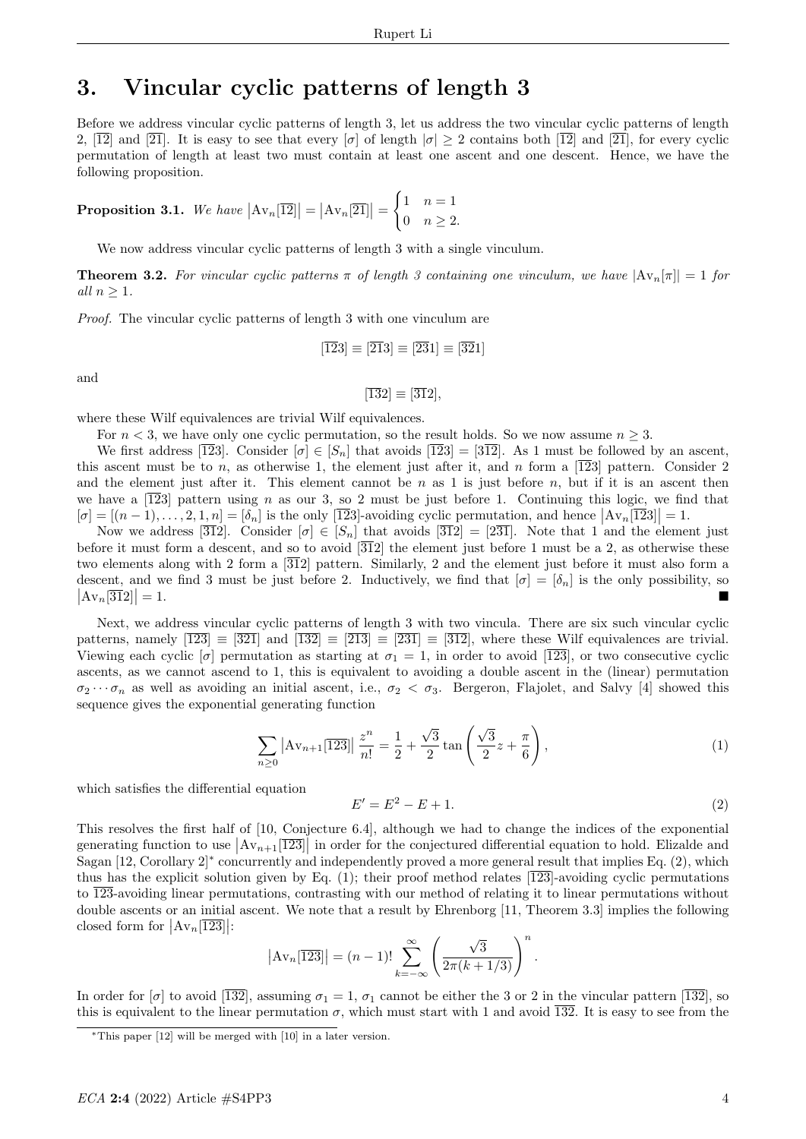# 3. Vincular cyclic patterns of length 3

Before we address vincular cyclic patterns of length 3, let us address the two vincular cyclic patterns of length 2,  $\boxed{12}$  and  $\boxed{21}$ . It is easy to see that every  $\boxed{\sigma}$  of length  $\boxed{\sigma} \geq 2$  contains both  $\boxed{12}$  and  $\boxed{21}$ , for every cyclic permutation of length at least two must contain at least one ascent and one descent. Hence, we have the following proposition.

**Proposition 3.1.** We have  $|\text{Av}_n[\overline{12}]| = |\text{Av}_n[\overline{21}]| =$  $\int 1 \quad n=1$ 0  $n \geq 2$ .

We now address vincular cyclic patterns of length 3 with a single vinculum.

**Theorem 3.2.** For vincular cyclic patterns  $\pi$  of length 3 containing one vinculum, we have  $|\text{Av}_n[\pi]| = 1$  for all  $n > 1$ .

Proof. The vincular cyclic patterns of length 3 with one vinculum are

$$
[\overline{1}\overline{2}3] \equiv [\overline{2}\overline{1}3] \equiv [\overline{2}\overline{3}1] \equiv [\overline{3}\overline{2}1]
$$

and

$$
[\overline{13}2] \equiv [\overline{31}2],
$$

where these Wilf equivalences are trivial Wilf equivalences.

For  $n < 3$ , we have only one cyclic permutation, so the result holds. So we now assume  $n \geq 3$ .

We first address  $\overline{123}$ . Consider  $\overline{\sigma} \in [S_n]$  that avoids  $\overline{123} = \overline{312}$ . As 1 must be followed by an ascent, this ascent must be to n, as otherwise 1, the element just after it, and n form a  $\overline{123}$  pattern. Consider 2 and the element just after it. This element cannot be  $n$  as 1 is just before  $n$ , but if it is an ascent then we have a  $\overline{123}$  pattern using n as our 3, so 2 must be just before 1. Continuing this logic, we find that  $[\sigma] = [(n-1), \ldots, 2, 1, n] = [\delta_n]$  is the only  $[\overline{123}]$ -avoiding cyclic permutation, and hence  $[\Delta v_n[\overline{123}]] = 1$ .

Now we address [312]. Consider  $[\sigma] \in [S_n]$  that avoids [312] = [231]. Note that 1 and the element just before it must form a descent, and so to avoid  $\overline{312}$  the element just before 1 must be a 2, as otherwise these two elements along with 2 form a [312] pattern. Similarly, 2 and the element just before it must also form a descent, and we find 3 must be just before 2. Inductively, we find that  $[\sigma] = [\delta_n]$  is the only possibility, so  $\left|\mathrm{Av}_n[\overline{31}2]\right|$  $\vert = 1.$ 

Next, we address vincular cyclic patterns of length 3 with two vincula. There are six such vincular cyclic patterns, namely  $\overline{123} \equiv \overline{321}$  and  $\overline{132} \equiv \overline{213} \equiv \overline{231} \equiv \overline{312}$ , where these Wilf equivalences are trivial. Viewing each cyclic  $[\sigma]$  permutation as starting at  $\sigma_1 = 1$ , in order to avoid [123], or two consecutive cyclic ascents, as we cannot ascend to 1, this is equivalent to avoiding a double ascent in the (linear) permutation  $\sigma_2 \cdots \sigma_n$  as well as avoiding an initial ascent, i.e.,  $\sigma_2 < \sigma_3$ . Bergeron, Flajolet, and Salvy [4] showed this sequence gives the exponential generating function

$$
\sum_{n\geq 0} \left| A v_{n+1} \left[ \overline{123} \right] \right| \frac{z^n}{n!} = \frac{1}{2} + \frac{\sqrt{3}}{2} \tan \left( \frac{\sqrt{3}}{2} z + \frac{\pi}{6} \right), \tag{1}
$$

which satisfies the differential equation

$$
E' = E^2 - E + 1.\t\t(2)
$$

.

This resolves the first half of [10, Conjecture 6.4], although we had to change the indices of the exponential generating function to use  $|Av_{n+1}[\overline{123}]|$  in order for the conjectured differential equation to hold. Elizalde and Sagan [12, Corollary 2]<sup>∗</sup> concurrently and independently proved a more general result that implies Eq. (2), which thus has the explicit solution given by Eq.  $(1)$ ; their proof method relates  $\overline{123}$ -avoiding cyclic permutations to 123-avoiding linear permutations, contrasting with our method of relating it to linear permutations without double ascents or an initial ascent. We note that a result by Ehrenborg [11, Theorem 3.3] implies the following closed form for  $\left|\mathrm{Av}_n[\overline{123}]\right|$ :

$$
|\text{Av}_n[\overline{123}]| = (n-1)!\sum_{k=-\infty}^{\infty} \left(\frac{\sqrt{3}}{2\pi(k+1/3)}\right)^n
$$

In order for [σ] to avoid [132], assuming  $\sigma_1 = 1$ ,  $\sigma_1$  cannot be either the 3 or 2 in the vincular pattern [132], so this is equivalent to the linear permutation  $\sigma$ , which must start with 1 and avoid  $\overline{132}$ . It is easy to see from the

<sup>∗</sup>This paper [12] will be merged with [10] in a later version.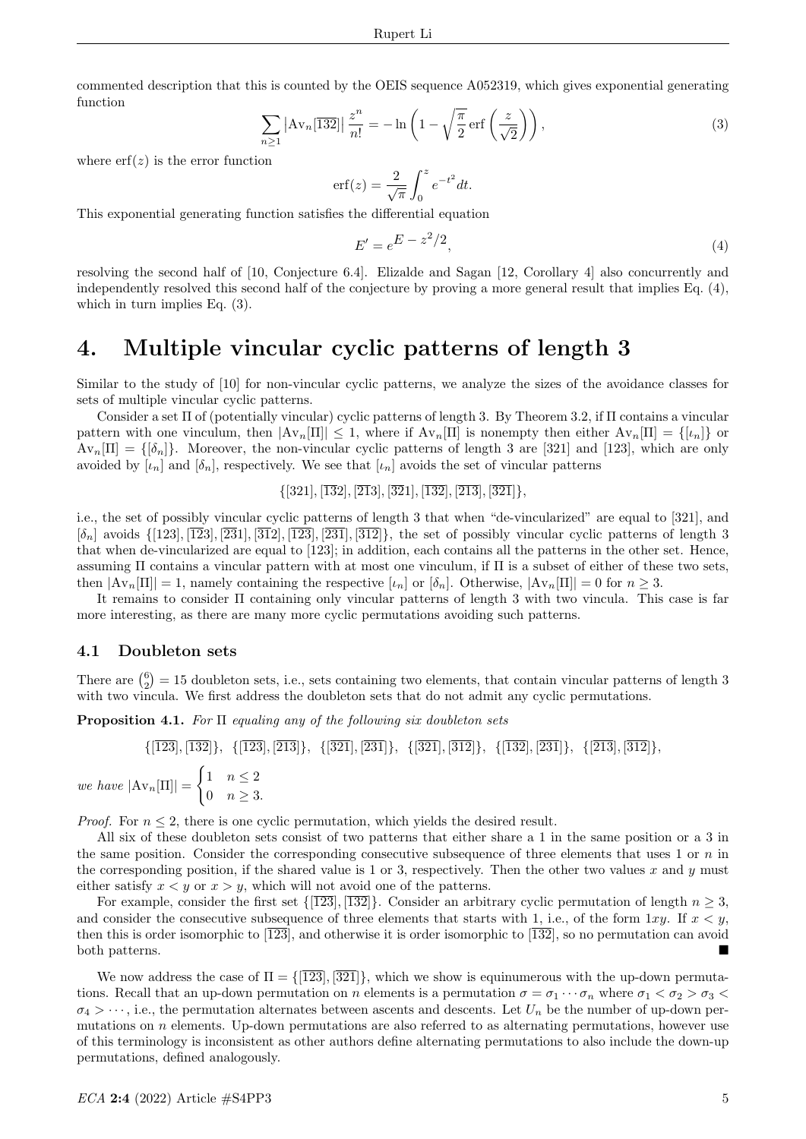commented description that this is counted by the OEIS sequence A052319, which gives exponential generating function

$$
\sum_{n\geq 1} \left| \mathrm{Av}_n[\overline{132}] \right| \frac{z^n}{n!} = -\ln\left(1 - \sqrt{\frac{\pi}{2}} \,\mathrm{erf}\left(\frac{z}{\sqrt{2}}\right)\right),\tag{3}
$$

where  $\text{erf}(z)$  is the error function

$$
\operatorname{erf}(z) = \frac{2}{\sqrt{\pi}} \int_0^z e^{-t^2} dt.
$$

This exponential generating function satisfies the differential equation

$$
E' = e^{E - z^2/2},\tag{4}
$$

resolving the second half of [10, Conjecture 6.4]. Elizalde and Sagan [12, Corollary 4] also concurrently and independently resolved this second half of the conjecture by proving a more general result that implies Eq. (4), which in turn implies Eq.  $(3)$ .

## 4. Multiple vincular cyclic patterns of length 3

Similar to the study of [10] for non-vincular cyclic patterns, we analyze the sizes of the avoidance classes for sets of multiple vincular cyclic patterns.

Consider a set Π of (potentially vincular) cyclic patterns of length 3. By Theorem 3.2, if Π contains a vincular pattern with one vinculum, then  $|Av_n[\Pi]| \leq 1$ , where if  $Av_n[\Pi]$  is nonempty then either  $Av_n[\Pi] = \{[\iota_n]\}$  or  $Av_n[\Pi] = {\delta_n}$ . Moreover, the non-vincular cyclic patterns of length 3 are [321] and [123], which are only avoided by  $[\iota_n]$  and  $[\delta_n]$ , respectively. We see that  $[\iota_n]$  avoids the set of vincular patterns

 $\{[321], [\overline{13}2], [\overline{21}3], [\overline{32}1], [\overline{132}], [\overline{213}], [\overline{321}]\},\$ 

i.e., the set of possibly vincular cyclic patterns of length 3 that when "de-vincularized" are equal to [321], and  $[\delta_n]$  avoids  $\{[123], [123], [231], [312], [231], [312]\}$ , the set of possibly vincular cyclic patterns of length 3 that when de-vincularized are equal to [123]; in addition, each contains all the patterns in the other set. Hence, assuming Π contains a vincular pattern with at most one vinculum, if Π is a subset of either of these two sets, then  $|\mathrm{Av}_n[\Pi]| = 1$ , namely containing the respective  $[\iota_n]$  or  $[\delta_n]$ . Otherwise,  $|\mathrm{Av}_n[\Pi]| = 0$  for  $n \geq 3$ .

It remains to consider Π containing only vincular patterns of length 3 with two vincula. This case is far more interesting, as there are many more cyclic permutations avoiding such patterns.

#### 4.1 Doubleton sets

There are  $\binom{6}{2} = 15$  doubleton sets, i.e., sets containing two elements, that contain vincular patterns of length 3 with two vincula. We first address the doubleton sets that do not admit any cyclic permutations.

**Proposition 4.1.** For  $\Pi$  equaling any of the following six doubleton sets

$$
\{ [ \overline{123}], [ \overline{132}], \{ [ \overline{123}], [ \overline{213}], \{ [ \overline{321}], [ \overline{231}], \{ [ \overline{312}], \{ [ \overline{132}], [ \overline{231}]\}, \{ [ \overline{213}], [ \overline{312}]\}, \}
$$
  
we have  $|\mathrm{Av}_n[\Pi]| = \begin{cases} 1 & n \le 2 \\ 0 & n \ge 3. \end{cases}$ 

*Proof.* For  $n \leq 2$ , there is one cyclic permutation, which yields the desired result.

All six of these doubleton sets consist of two patterns that either share a 1 in the same position or a 3 in the same position. Consider the corresponding consecutive subsequence of three elements that uses 1 or  $n$  in the corresponding position, if the shared value is 1 or 3, respectively. Then the other two values x and y must either satisfy  $x \leq y$  or  $x > y$ , which will not avoid one of the patterns.

For example, consider the first set  $\{123, 132\}$ . Consider an arbitrary cyclic permutation of length  $n \geq 3$ , and consider the consecutive subsequence of three elements that starts with 1, i.e., of the form  $1xy$ . If  $x < y$ , then this is order isomorphic to  $\overline{123}$ , and otherwise it is order isomorphic to  $\overline{132}$ , so no permutation can avoid both patterns.

We now address the case of  $\Pi = \{\overline{123}, \overline{321}\}\,$ , which we show is equinumerous with the up-down permutations. Recall that an up-down permutation on n elements is a permutation  $\sigma = \sigma_1 \cdots \sigma_n$  where  $\sigma_1 < \sigma_2 > \sigma_3 <$  $\sigma_4 > \cdots$ , i.e., the permutation alternates between ascents and descents. Let  $U_n$  be the number of up-down permutations on  $n$  elements. Up-down permutations are also referred to as alternating permutations, however use of this terminology is inconsistent as other authors define alternating permutations to also include the down-up permutations, defined analogously.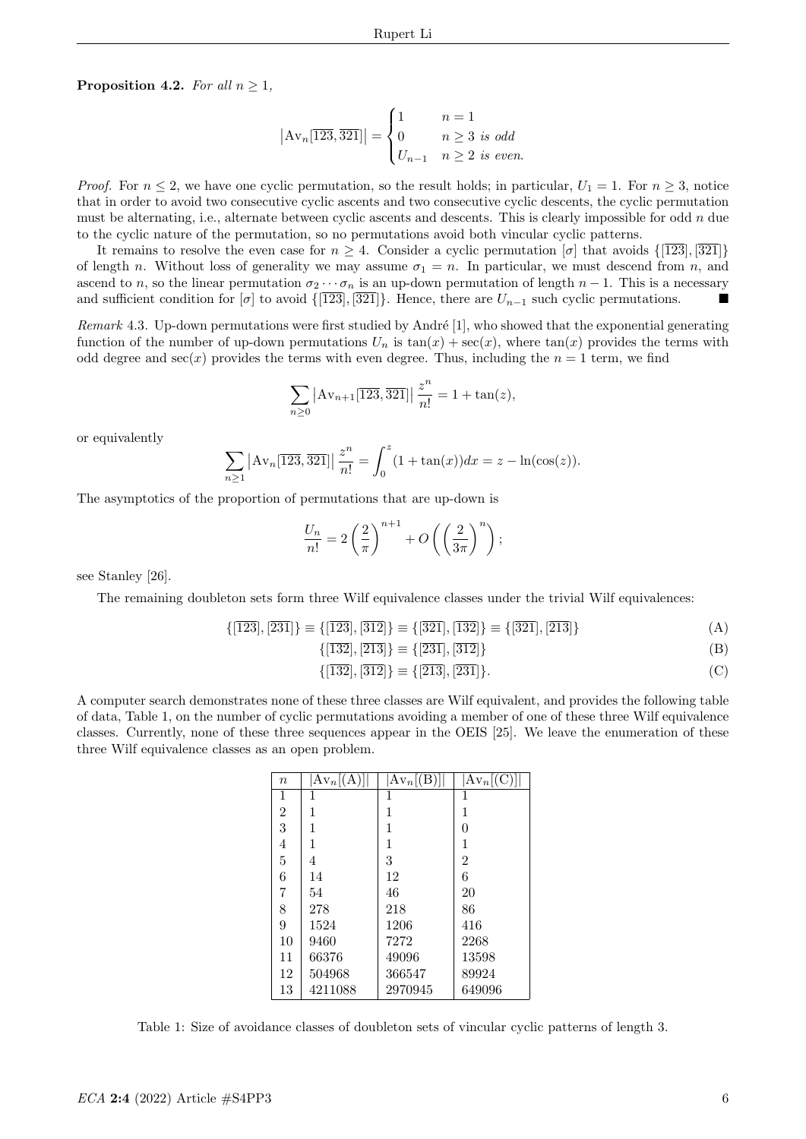**Proposition 4.2.** For all  $n \geq 1$ ,

$$
|\mathrm{Av}_n[\overline{123},\overline{321}]| = \begin{cases} 1 & n = 1 \\ 0 & n \ge 3 \text{ is odd} \\ U_{n-1} & n \ge 2 \text{ is even.} \end{cases}
$$

*Proof.* For  $n \leq 2$ , we have one cyclic permutation, so the result holds; in particular,  $U_1 = 1$ . For  $n \geq 3$ , notice that in order to avoid two consecutive cyclic ascents and two consecutive cyclic descents, the cyclic permutation must be alternating, i.e., alternate between cyclic ascents and descents. This is clearly impossible for odd n due to the cyclic nature of the permutation, so no permutations avoid both vincular cyclic patterns.

It remains to resolve the even case for  $n \geq 4$ . Consider a cyclic permutation [σ] that avoids  $\{\overline{123}, \overline{321}\}\$ of length n. Without loss of generality we may assume  $\sigma_1 = n$ . In particular, we must descend from n, and ascend to n, so the linear permutation  $\sigma_2 \cdots \sigma_n$  is an up-down permutation of length  $n-1$ . This is a necessary and sufficient condition for  $[\sigma]$  to avoid  $\{[123], [321]\}$ . Hence, there are  $U_{n-1}$  such cyclic permutations.

Remark 4.3. Up-down permutations were first studied by André [1], who showed that the exponential generating function of the number of up-down permutations  $U_n$  is  $tan(x) + sec(x)$ , where  $tan(x)$  provides the terms with odd degree and  $sec(x)$  provides the terms with even degree. Thus, including the  $n = 1$  term, we find

$$
\sum_{n\geq 0} |Av_{n+1}[\overline{123}, \overline{321}]| \frac{z^n}{n!} = 1 + \tan(z),
$$

or equivalently

$$
\sum_{n\geq 1} |\mathrm{Av}_n[\overline{123},\overline{321}]| \frac{z^n}{n!} = \int_0^z (1 + \tan(x)) dx = z - \ln(\cos(z)).
$$

The asymptotics of the proportion of permutations that are up-down is

$$
\frac{U_n}{n!} = 2\left(\frac{2}{\pi}\right)^{n+1} + O\left(\left(\frac{2}{3\pi}\right)^n\right);
$$

see Stanley [26].

The remaining doubleton sets form three Wilf equivalence classes under the trivial Wilf equivalences:

$$
\{[\overline{123}], [\overline{231}]\} \equiv \{[\overline{123}], [\overline{312}]\} \equiv \{[\overline{321}], [\overline{132}]\} \equiv \{[\overline{321}], [\overline{213}]\}\tag{A}
$$

$$
\{[\overline{132}], [\overline{213}]\} \equiv \{[\overline{231}], [\overline{312}]\} \tag{B}
$$

$$
\{[\overline{132}], [\overline{312}]\} \equiv \{[\overline{213}], [\overline{231}]\}.
$$
 (C)

A computer search demonstrates none of these three classes are Wilf equivalent, and provides the following table of data, Table 1, on the number of cyclic permutations avoiding a member of one of these three Wilf equivalence classes. Currently, none of these three sequences appear in the OEIS [25]. We leave the enumeration of these three Wilf equivalence classes as an open problem.

| $\, n$           | $Av_n[(A)]$ | $Av_n[(B)]$ | $Av_n[(C)]$    |
|------------------|-------------|-------------|----------------|
| 1                | 1           | 1           | 1              |
| $\boldsymbol{2}$ | 1           | 1           | 1              |
| 3                | 1           | 1           | 0              |
| 4                | 1           | 1           | 1              |
| 5                | 4           | 3           | $\overline{2}$ |
| 6                | 14          | 12          | 6              |
| 7                | 54          | 46          | 20             |
| 8                | 278         | 218         | 86             |
| 9                | 1524        | 1206        | 416            |
| 10               | 9460        | 7272        | 2268           |
| 11               | 66376       | 49096       | 13598          |
| 12               | 504968      | 366547      | 89924          |
| 13               | 4211088     | 2970945     | 649096         |

Table 1: Size of avoidance classes of doubleton sets of vincular cyclic patterns of length 3.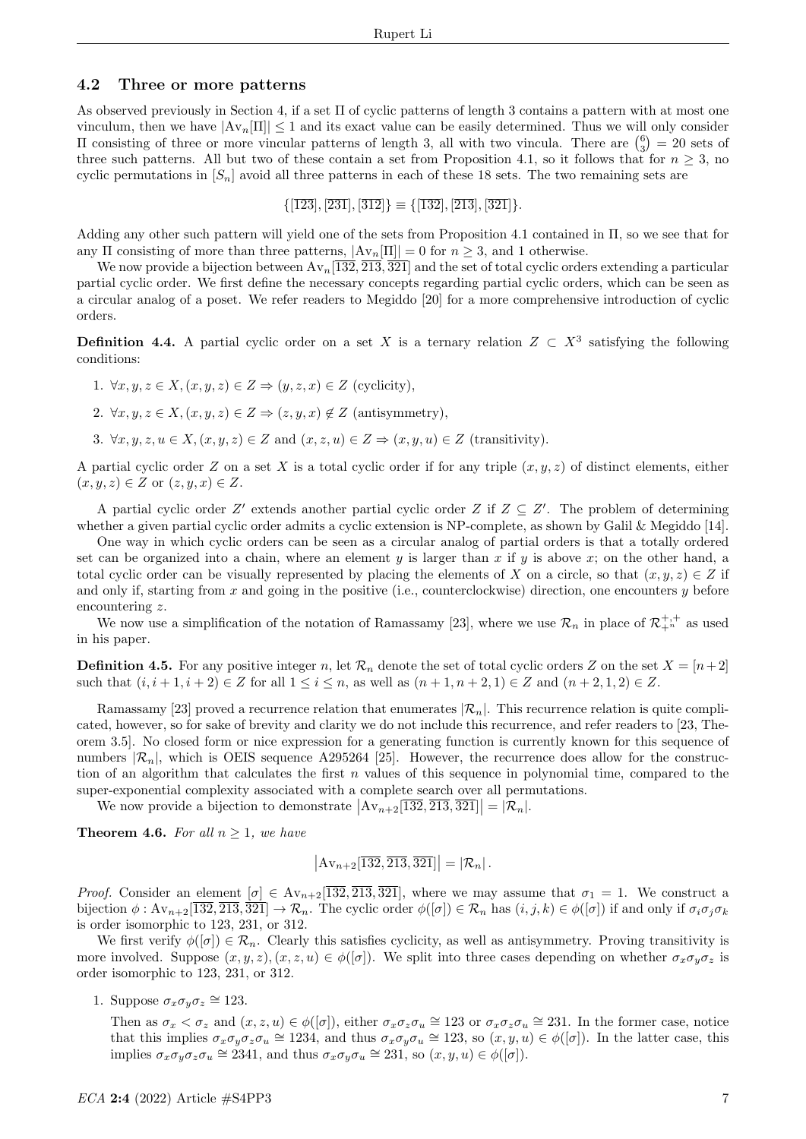### 4.2 Three or more patterns

As observed previously in Section 4, if a set  $\Pi$  of cyclic patterns of length 3 contains a pattern with at most one vinculum, then we have  $|Av_n[\Pi]| \leq 1$  and its exact value can be easily determined. Thus we will only consider II consisting of three or more vincular patterns of length 3, all with two vincula. There are  $\binom{6}{3} = 20$  sets of three such patterns. All but two of these contain a set from Proposition 4.1, so it follows that for  $n \geq 3$ , no cyclic permutations in  $[S_n]$  avoid all three patterns in each of these 18 sets. The two remaining sets are

 $\{[\overline{123}], [\overline{231}], [\overline{312}]\} \equiv \{[\overline{132}], [\overline{213}], [\overline{321}]\}.$ 

Adding any other such pattern will yield one of the sets from Proposition 4.1 contained in Π, so we see that for any Π consisting of more than three patterns,  $|\text{Av}_n[\Pi]| = 0$  for  $n \geq 3$ , and 1 otherwise.

We now provide a bijection between  $Av_n[1\overline{32},\overline{213},\overline{321}]$  and the set of total cyclic orders extending a particular partial cyclic order. We first define the necessary concepts regarding partial cyclic orders, which can be seen as a circular analog of a poset. We refer readers to Megiddo [20] for a more comprehensive introduction of cyclic orders.

**Definition 4.4.** A partial cyclic order on a set X is a ternary relation  $Z \text{ }\subset X^3$  satisfying the following conditions:

1.  $\forall x, y, z \in X, (x, y, z) \in Z \Rightarrow (y, z, x) \in Z$  (cyclicity),

2.  $\forall x, y, z \in X, (x, y, z) \in Z \Rightarrow (z, y, x) \notin Z$  (antisymmetry),

3.  $\forall x, y, z, u \in X, (x, y, z) \in Z$  and  $(x, z, u) \in Z \Rightarrow (x, y, u) \in Z$  (transitivity).

A partial cyclic order Z on a set X is a total cyclic order if for any triple  $(x, y, z)$  of distinct elements, either  $(x, y, z) \in Z$  or  $(z, y, x) \in Z$ .

A partial cyclic order  $Z'$  extends another partial cyclic order Z if  $Z \subseteq Z'$ . The problem of determining whether a given partial cyclic order admits a cyclic extension is NP-complete, as shown by Galil & Megiddo [14].

One way in which cyclic orders can be seen as a circular analog of partial orders is that a totally ordered set can be organized into a chain, where an element y is larger than x if y is above x; on the other hand, a total cyclic order can be visually represented by placing the elements of X on a circle, so that  $(x, y, z) \in Z$  if and only if, starting from  $x$  and going in the positive (i.e., counterclockwise) direction, one encounters  $y$  before encountering z.

We now use a simplification of the notation of Ramassamy [23], where we use  $\mathcal{R}_n$  in place of  $\mathcal{R}_{+}^{+,+}$  as used in his paper.

**Definition 4.5.** For any positive integer n, let  $\mathcal{R}_n$  denote the set of total cyclic orders Z on the set  $X = [n+2]$ such that  $(i, i + 1, i + 2) \in Z$  for all  $1 \le i \le n$ , as well as  $(n + 1, n + 2, 1) \in Z$  and  $(n + 2, 1, 2) \in Z$ .

Ramassamy [23] proved a recurrence relation that enumerates  $\mathcal{R}_n$ . This recurrence relation is quite complicated, however, so for sake of brevity and clarity we do not include this recurrence, and refer readers to [23, Theorem 3.5]. No closed form or nice expression for a generating function is currently known for this sequence of numbers  $\mathcal{R}_n$ , which is OEIS sequence A295264 [25]. However, the recurrence does allow for the construction of an algorithm that calculates the first  $n$  values of this sequence in polynomial time, compared to the super-exponential complexity associated with a complete search over all permutations.

We now provide a bijection to demonstrate  $\left|\text{Av}_{n+2}[\overline{132}, \overline{213}, \overline{321}]\right| = |\mathcal{R}_n|$ .

**Theorem 4.6.** For all  $n \geq 1$ , we have

$$
\left|\mathrm{Av}_{n+2}[\overline{132},\overline{213},\overline{321}]\right| = |\mathcal{R}_n|.
$$

*Proof.* Consider an element  $[\sigma] \in Av_{n+2}[\overline{132}, \overline{213}, \overline{321}]$ , where we may assume that  $\sigma_1 = 1$ . We construct a bijection  $\phi : Av_{n+2}[\overline{132}, \overline{213}, \overline{321}] \to \mathcal{R}_n$ . The cyclic order  $\phi([\sigma]) \in \mathcal{R}_n$  has  $(i, j, k) \in \phi([\sigma])$  if and only if  $\sigma_i \sigma_j \sigma_k$ is order isomorphic to 123, 231, or 312.

We first verify  $\phi([\sigma]) \in \mathcal{R}_n$ . Clearly this satisfies cyclicity, as well as antisymmetry. Proving transitivity is more involved. Suppose  $(x, y, z), (x, z, u) \in \phi([\sigma])$ . We split into three cases depending on whether  $\sigma_x \sigma_y \sigma_z$  is order isomorphic to 123, 231, or 312.

1. Suppose  $\sigma_x \sigma_y \sigma_z \cong 123$ .

Then as  $\sigma_x < \sigma_z$  and  $(x, z, u) \in \phi([\sigma])$ , either  $\sigma_x \sigma_z \sigma_u \cong 123$  or  $\sigma_x \sigma_z \sigma_u \cong 231$ . In the former case, notice that this implies  $\sigma_x \sigma_y \sigma_z \sigma_u \cong 1234$ , and thus  $\sigma_x \sigma_y \sigma_u \cong 123$ , so  $(x, y, u) \in \phi([\sigma])$ . In the latter case, this implies  $\sigma_x \sigma_y \sigma_z \sigma_u \cong 2341$ , and thus  $\sigma_x \sigma_y \sigma_u \cong 231$ , so  $(x, y, u) \in \phi([\sigma])$ .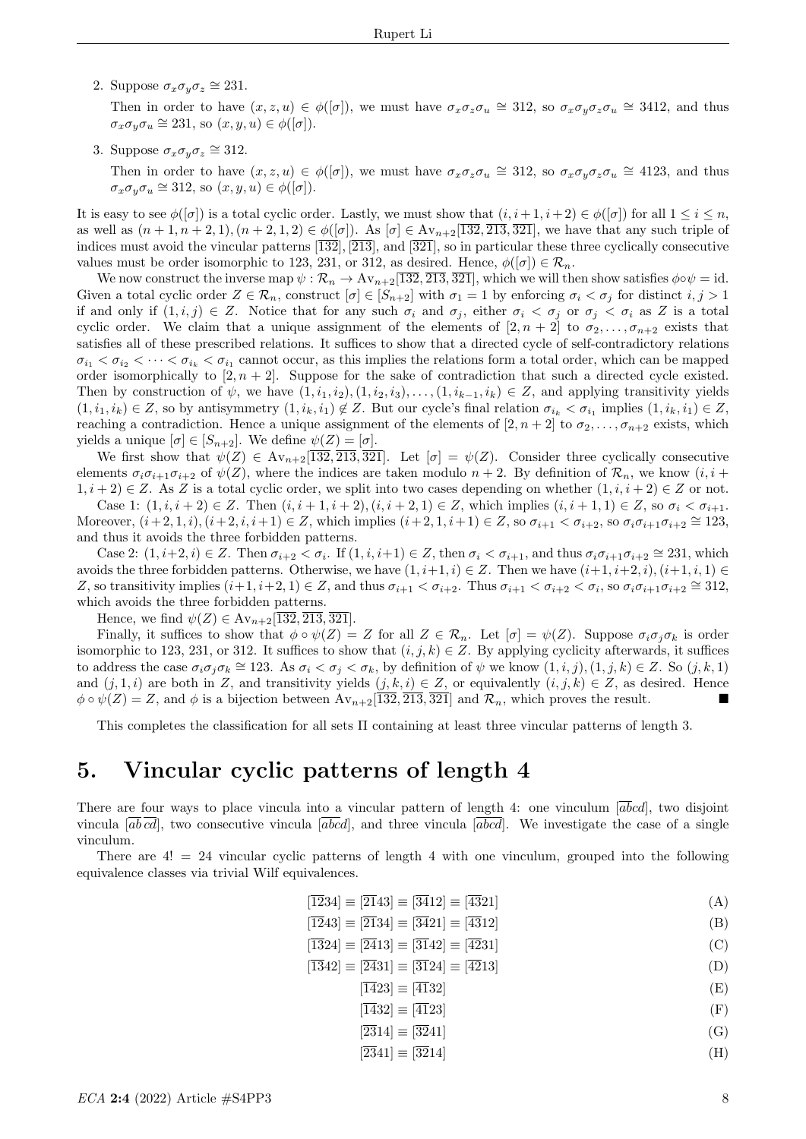2. Suppose  $\sigma_x \sigma_y \sigma_z \cong 231$ .

Then in order to have  $(x, z, u) \in \phi([\sigma])$ , we must have  $\sigma_x \sigma_z \sigma_u \cong 312$ , so  $\sigma_x \sigma_y \sigma_z \sigma_u \cong 3412$ , and thus  $\sigma_x \sigma_y \sigma_u \cong 231$ , so  $(x, y, u) \in \phi([\sigma])$ .

3. Suppose  $\sigma_x \sigma_y \sigma_z \cong 312$ .

Then in order to have  $(x, z, u) \in \phi([\sigma])$ , we must have  $\sigma_x \sigma_z \sigma_u \cong 312$ , so  $\sigma_x \sigma_y \sigma_z \sigma_u \cong 4123$ , and thus  $\sigma_x \sigma_y \sigma_u \cong 312$ , so  $(x, y, u) \in \phi([\sigma]).$ 

It is easy to see  $\phi([\sigma])$  is a total cyclic order. Lastly, we must show that  $(i, i+1, i+2) \in \phi([\sigma])$  for all  $1 \leq i \leq n$ , as well as  $(n+1, n+2, 1), (n+2, 1, 2) \in \phi([\sigma])$ . As  $[\sigma] \in Av_{n+2}[\overline{132}, \overline{213}, \overline{321}]$ , we have that any such triple of indices must avoid the vincular patterns  $\overline{132}$ ,  $\overline{213}$ , and  $\overline{321}$ , so in particular these three cyclically consecutive values must be order isomorphic to 123, 231, or 312, as desired. Hence,  $\phi([\sigma]) \in \mathcal{R}_n$ .

We now construct the inverse map  $\psi : \mathcal{R}_n \to Av_{n+2}[\overline{132}, \overline{213}, \overline{321}]$ , which we will then show satisfies  $\phi \circ \psi = id$ . Given a total cyclic order  $Z \in \mathcal{R}_n$ , construct  $[\sigma] \in [S_{n+2}]$  with  $\sigma_1 = 1$  by enforcing  $\sigma_i < \sigma_j$  for distinct  $i, j > 1$ if and only if  $(1, i, j) \in Z$ . Notice that for any such  $\sigma_i$  and  $\sigma_j$ , either  $\sigma_i < \sigma_j$  or  $\sigma_j < \sigma_i$  as Z is a total cyclic order. We claim that a unique assignment of the elements of  $[2, n + 2]$  to  $\sigma_2, \ldots, \sigma_{n+2}$  exists that satisfies all of these prescribed relations. It suffices to show that a directed cycle of self-contradictory relations  $\sigma_{i_1} < \sigma_{i_2} < \cdots < \sigma_{i_k} < \sigma_{i_1}$  cannot occur, as this implies the relations form a total order, which can be mapped order isomorphically to  $[2, n+2]$ . Suppose for the sake of contradiction that such a directed cycle existed. Then by construction of  $\psi$ , we have  $(1, i_1, i_2), (1, i_2, i_3), \ldots, (1, i_{k-1}, i_k) \in Z$ , and applying transitivity yields  $(1, i_1, i_k) \in Z$ , so by antisymmetry  $(1, i_k, i_1) \notin Z$ . But our cycle's final relation  $\sigma_{i_k} < \sigma_{i_1}$  implies  $(1, i_k, i_1) \in Z$ , reaching a contradiction. Hence a unique assignment of the elements of  $[2, n+2]$  to  $\sigma_2, \ldots, \sigma_{n+2}$  exists, which yields a unique  $[\sigma] \in [S_{n+2}]$ . We define  $\psi(Z) = [\sigma]$ .

We first show that  $\psi(Z) \in \text{Av}_{n+2}[\overline{132}, \overline{213}, \overline{321}]$ . Let  $[\sigma] = \psi(Z)$ . Consider three cyclically consecutive elements  $\sigma_i \sigma_{i+1} \sigma_{i+2}$  of  $\psi(Z)$ , where the indices are taken modulo  $n+2$ . By definition of  $\mathcal{R}_n$ , we know  $(i, i + 1)$  $1, i + 2 \in \mathbb{Z}$ . As Z is a total cyclic order, we split into two cases depending on whether  $(1, i, i + 2) \in \mathbb{Z}$  or not.

Case 1:  $(1, i, i + 2) \in Z$ . Then  $(i, i + 1, i + 2), (i, i + 2, 1) \in Z$ , which implies  $(i, i + 1, 1) \in Z$ , so  $\sigma_i < \sigma_{i+1}$ . Moreover,  $(i+2,1,i)$ ,  $(i+2,i,i+1) \in Z$ , which implies  $(i+2,1,i+1) \in Z$ , so  $\sigma_{i+1} < \sigma_{i+2}$ , so  $\sigma_i \sigma_{i+1} \sigma_{i+2} \cong 123$ , and thus it avoids the three forbidden patterns.

Case 2:  $(1, i+2, i) \in \mathbb{Z}$ . Then  $\sigma_{i+2} < \sigma_i$ . If  $(1, i, i+1) \in \mathbb{Z}$ , then  $\sigma_i < \sigma_{i+1}$ , and thus  $\sigma_i \sigma_{i+1} \sigma_{i+2} \cong 231$ , which avoids the three forbidden patterns. Otherwise, we have  $(1, i+1, i) \in Z$ . Then we have  $(i+1, i+2, i), (i+1, i, 1) \in Z$ Z, so transitivity implies  $(i+1, i+2, 1) \in \mathbb{Z}$ , and thus  $\sigma_{i+1} < \sigma_{i+2}$ . Thus  $\sigma_{i+1} < \sigma_{i+2} < \sigma_i$ , so  $\sigma_i \sigma_{i+1} \sigma_{i+2} \cong 312$ , which avoids the three forbidden patterns.

Hence, we find  $\psi(Z) \in Av_{n+2}[\overline{132}, \overline{213}, \overline{321}].$ 

Finally, it suffices to show that  $\phi \circ \psi(Z) = Z$  for all  $Z \in \mathcal{R}_n$ . Let  $[\sigma] = \psi(Z)$ . Suppose  $\sigma_i \sigma_j \sigma_k$  is order isomorphic to 123, 231, or 312. It suffices to show that  $(i, j, k) \in Z$ . By applying cyclicity afterwards, it suffices to address the case  $\sigma_i \sigma_j \sigma_k \cong 123$ . As  $\sigma_i < \sigma_j < \sigma_k$ , by definition of  $\psi$  we know  $(1, i, j), (1, j, k) \in Z$ . So  $(j, k, 1)$ and  $(j, 1, i)$  are both in Z, and transitivity yields  $(j, k, i) \in Z$ , or equivalently  $(i, j, k) \in Z$ , as desired. Hence  $\phi \circ \psi(Z) = Z$ , and  $\phi$  is a bijection between  $Av_{n+2}[\overline{132}, \overline{213}, \overline{321}]$  and  $\mathcal{R}_n$ , which proves the result.

This completes the classification for all sets Π containing at least three vincular patterns of length 3.

# 5. Vincular cyclic patterns of length 4

There are four ways to place vincula into a vincular pattern of length 4: one vinculum  $[abcd]$ , two disjoint vincula  $[\overline{ab} \overline{cd}]$ , two consecutive vincula  $[\overline{abcd}]$ , and three vincula  $[\overline{abcd}]$ . We investigate the case of a single vinculum.

There are  $4! = 24$  vincular cyclic patterns of length 4 with one vinculum, grouped into the following equivalence classes via trivial Wilf equivalences.

$$
|\overline{12}34| \equiv |\overline{21}43| \equiv |\overline{34}12| \equiv |\overline{43}21| \tag{A}
$$

$$
[\overline{12}43] \equiv [\overline{21}34] \equiv [\overline{34}21] \equiv [\overline{43}12]
$$
 (B)

$$
|\overline{13}24| \equiv |\overline{24}13| \equiv |\overline{31}42| \equiv |\overline{42}31| \tag{C}
$$

$$
[\overline{13}42] \equiv [\overline{24}31] \equiv [\overline{31}24] \equiv [\overline{42}13]
$$
 (D)

$$
[\overline{14}23] \equiv [\overline{41}32] \tag{E}
$$

$$
[\overline{14}32] \equiv [\overline{41}23] \tag{F}
$$

$$
[2\overline{3}14] \equiv [\overline{3}241] \tag{G}
$$

$$
[2\overline{3}41] \equiv [\overline{3}214] \tag{H}
$$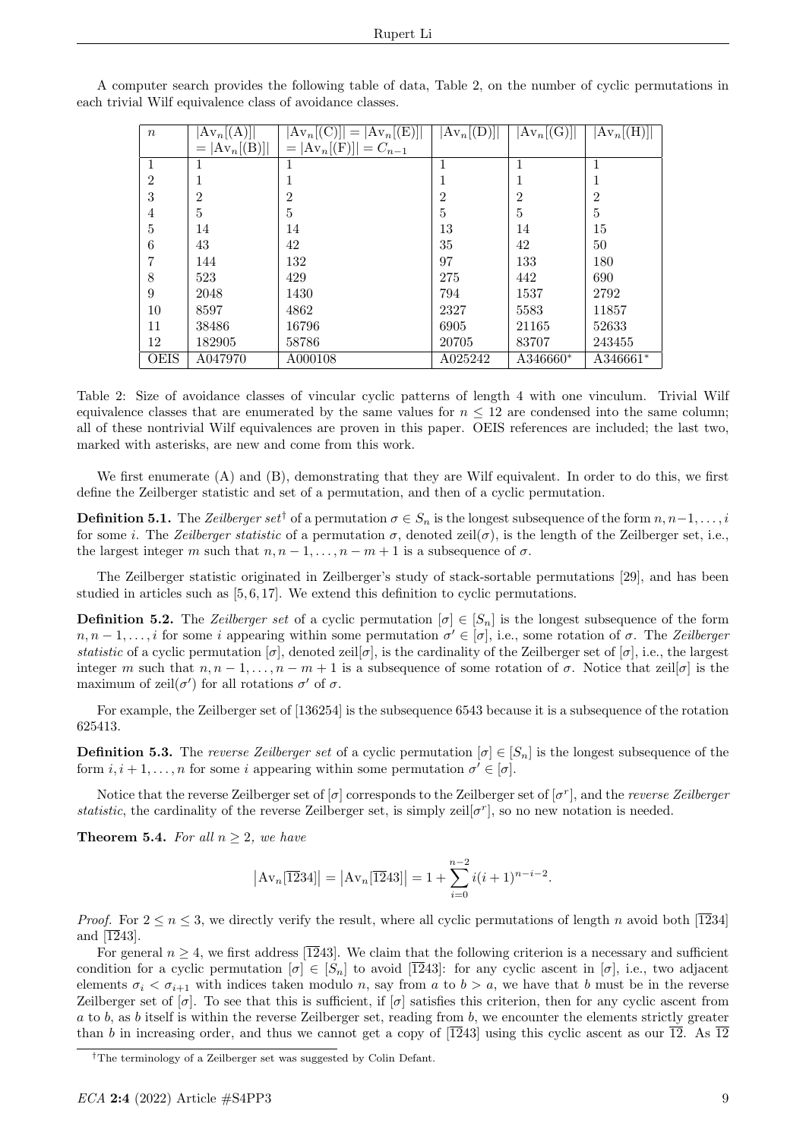| $\boldsymbol{n}$ | $Av_n[(A)] $    | $Av_n(C)   =  Av_n(CE)  $ | $ \mathrm{Av}_n[$ (D)] $ $ | $ Av_n(G) $          | $ \mathrm{Av}_n[\mathrm(H)] $ |
|------------------|-----------------|---------------------------|----------------------------|----------------------|-------------------------------|
|                  | $=  Av_n[(B)] $ | $=  Av_n[(F)]  = C_{n-1}$ |                            |                      |                               |
| 1                |                 |                           |                            |                      |                               |
| $\overline{2}$   |                 |                           |                            |                      |                               |
| 3                | 2               | $\overline{2}$            | $\overline{2}$             | $\overline{2}$       | $\overline{2}$                |
| 4                | 5               | 5                         | 5                          | 5                    | 5                             |
| 5                | 14              | 14                        | 13                         | 14                   | 15                            |
| 6                | 43              | 42                        | 35                         | 42                   | 50                            |
|                  | 144             | 132                       | 97                         | 133                  | 180                           |
| 8                | 523             | 429                       | 275                        | 442                  | 690                           |
| 9                | 2048            | 1430                      | 794                        | 1537                 | 2792                          |
| 10               | 8597            | 4862                      | 2327                       | 5583                 | 11857                         |
| 11               | 38486           | 16796                     | 6905                       | 21165                | 52633                         |
| 12               | 182905          | 58786                     | 20705                      | 83707                | 243455                        |
| <b>OEIS</b>      | A047970         | A000108                   | A025242                    | A346660 <sup>*</sup> | A346661*                      |

A computer search provides the following table of data, Table 2, on the number of cyclic permutations in each trivial Wilf equivalence class of avoidance classes.

Table 2: Size of avoidance classes of vincular cyclic patterns of length 4 with one vinculum. Trivial Wilf equivalence classes that are enumerated by the same values for  $n \leq 12$  are condensed into the same column; all of these nontrivial Wilf equivalences are proven in this paper. OEIS references are included; the last two, marked with asterisks, are new and come from this work.

We first enumerate (A) and (B), demonstrating that they are Wilf equivalent. In order to do this, we first define the Zeilberger statistic and set of a permutation, and then of a cyclic permutation.

**Definition 5.1.** The Zeilberger set<sup>†</sup> of a permutation  $\sigma \in S_n$  is the longest subsequence of the form  $n, n-1, \ldots, i$ for some i. The Zeilberger statistic of a permutation  $\sigma$ , denoted zeil $(\sigma)$ , is the length of the Zeilberger set, i.e., the largest integer m such that  $n, n-1, \ldots, n-m+1$  is a subsequence of  $\sigma$ .

The Zeilberger statistic originated in Zeilberger's study of stack-sortable permutations [29], and has been studied in articles such as [5, 6, 17]. We extend this definition to cyclic permutations.

**Definition 5.2.** The Zeilberger set of a cyclic permutation  $[\sigma] \in [S_n]$  is the longest subsequence of the form  $n, n-1, \ldots, i$  for some i appearing within some permutation  $\sigma' \in [\sigma]$ , i.e., some rotation of  $\sigma$ . The Zeilberger statistic of a cyclic permutation  $[\sigma]$ , denoted zeil $[\sigma]$ , is the cardinality of the Zeilberger set of  $[\sigma]$ , i.e., the largest integer m such that  $n, n-1, \ldots, n-m+1$  is a subsequence of some rotation of  $\sigma$ . Notice that zeil $[\sigma]$  is the maximum of  $\text{zeil}(\sigma')$  for all rotations  $\sigma'$  of  $\sigma$ .

For example, the Zeilberger set of [136254] is the subsequence 6543 because it is a subsequence of the rotation 625413.

**Definition 5.3.** The reverse Zeilberger set of a cyclic permutation  $[\sigma] \in [S_n]$  is the longest subsequence of the form  $i, i+1, \ldots, n$  for some i appearing within some permutation  $\sigma' \in [\sigma]$ .

Notice that the reverse Zeilberger set of  $[\sigma]$  corresponds to the Zeilberger set of  $[\sigma^r]$ , and the *reverse Zeilberger* statistic, the cardinality of the reverse Zeilberger set, is simply zeil $[\sigma^r]$ , so no new notation is needed.

**Theorem 5.4.** For all  $n \geq 2$ , we have

$$
|\text{Av}_n[\overline{12}34]| = |\text{Av}_n[\overline{12}43]| = 1 + \sum_{i=0}^{n-2} i(i+1)^{n-i-2}.
$$

*Proof.* For  $2 \le n \le 3$ , we directly verify the result, where all cyclic permutations of length n avoid both [1234] and  $\overline{12}43$ .

For general  $n \geq 4$ , we first address [1243]. We claim that the following criterion is a necessary and sufficient condition for a cyclic permutation  $[\sigma] \in [S_n]$  to avoid  $[\overline{12}43]$ : for any cyclic ascent in  $[\sigma]$ , i.e., two adjacent elements  $\sigma_i < \sigma_{i+1}$  with indices taken modulo n, say from a to  $b > a$ , we have that b must be in the reverse Zeilberger set of  $[\sigma]$ . To see that this is sufficient, if  $[\sigma]$  satisfies this criterion, then for any cyclic ascent from  $a$  to b, as b itself is within the reverse Zeilberger set, reading from b, we encounter the elements strictly greater than b in increasing order, and thus we cannot get a copy of  $\overline{12}43$  using this cyclic ascent as our  $\overline{12}$ . As  $\overline{12}$ 

<sup>†</sup>The terminology of a Zeilberger set was suggested by Colin Defant.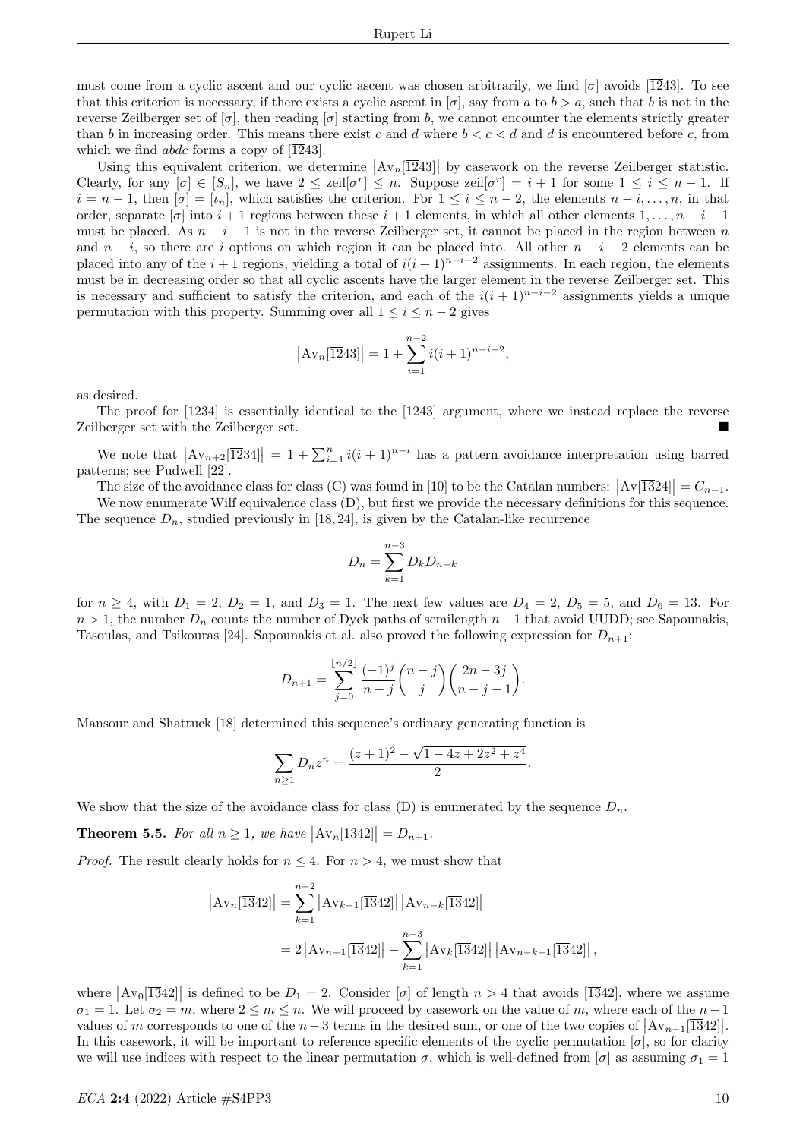must come from a cyclic ascent and our cyclic ascent was chosen arbitrarily, we find  $\sigma$  avoids [1243]. To see that this criterion is necessary, if there exists a cyclic ascent in  $[\sigma]$ , say from a to  $b > a$ , such that b is not in the reverse Zeilberger set of  $[\sigma]$ , then reading  $[\sigma]$  starting from b, we cannot encounter the elements strictly greater than b in increasing order. This means there exist c and d where  $b < c < d$  and d is encountered before c, from which we find *abdc* forms a copy of [1243].

Using this equivalent criterion, we determine  $|\text{Av}_n[\overline{12}43]|$  by casework on the reverse Zeilberger statistic. Clearly, for any  $[\sigma] \in [S_n]$ , we have  $2 \leq \text{ceil}[\sigma^r] \leq n$ . Suppose  $\text{ceil}[\sigma^r] = i+1$  for some  $1 \leq i \leq n-1$ . If  $i = n - 1$ , then  $[\sigma] = [\iota_n]$ , which satisfies the criterion. For  $1 \leq i \leq n - 2$ , the elements  $n - i, \ldots, n$ , in that order, separate  $[\sigma]$  into  $i+1$  regions between these  $i+1$  elements, in which all other elements  $1,\ldots,n-i-1$ must be placed. As  $n-i-1$  is not in the reverse Zeilberger set, it cannot be placed in the region between n and  $n-i$ , so there are i options on which region it can be placed into. All other  $n-i-2$  elements can be placed into any of the  $i+1$  regions, yielding a total of  $i(i+1)^{n-i-2}$  assignments. In each region, the elements must be in decreasing order so that all cyclic ascents have the larger element in the reverse Zeilberger set. This is necessary and sufficient to satisfy the criterion, and each of the  $i(i + 1)^{n-i-2}$  assignments yields a unique permutation with this property. Summing over all  $1 \leq i \leq n-2$  gives

$$
|\mathrm{Av}_n[\overline{12}43]| = 1 + \sum_{i=1}^{n-2} i(i+1)^{n-i-2},
$$

as desired.

The proof for  $\overline{1234}$  is essentially identical to the  $\overline{1243}$  argument, where we instead replace the reverse Zeilberger set with the Zeilberger set.

We note that  $|\text{Av}_{n+2}[\overline{12}34]| = 1 + \sum_{i=1}^{n} i(i+1)^{n-i}$  has a pattern avoidance interpretation using barred patterns; see Pudwell [22].

The size of the avoidance class for class (C) was found in [10] to be the Catalan numbers:  $|Av[\overline{1324}]| = C_{n-1}$ .

We now enumerate Wilf equivalence class  $(D)$ , but first we provide the necessary definitions for this sequence. The sequence  $D_n$ , studied previously in [18, 24], is given by the Catalan-like recurrence

$$
D_n = \sum_{k=1}^{n-3} D_k D_{n-k}
$$

for  $n \ge 4$ , with  $D_1 = 2$ ,  $D_2 = 1$ , and  $D_3 = 1$ . The next few values are  $D_4 = 2$ ,  $D_5 = 5$ , and  $D_6 = 13$ . For  $n > 1$ , the number  $D_n$  counts the number of Dyck paths of semilength  $n-1$  that avoid UUDD; see Sapounakis, Tasoulas, and Tsikouras [24]. Sapounakis et al. also proved the following expression for  $D_{n+1}$ :

$$
D_{n+1} = \sum_{j=0}^{\lfloor n/2 \rfloor} \frac{(-1)^j}{n-j} {n-j \choose j} {2n-3j \choose n-j-1}.
$$

Mansour and Shattuck [18] determined this sequence's ordinary generating function is

$$
\sum_{n\geq 1} D_n z^n = \frac{(z+1)^2 - \sqrt{1-4z+2z^2+z^4}}{2}.
$$

We show that the size of the avoidance class for class (D) is enumerated by the sequence  $D_n$ .

**Theorem 5.5.** For all  $n \geq 1$ , we have  $|\text{Av}_n[\overline{13}42]| = D_{n+1}$ .

*Proof.* The result clearly holds for  $n \leq 4$ . For  $n > 4$ , we must show that

$$
|\mathrm{Av}_{n}[\overline{13}42]| = \sum_{k=1}^{n-2} |\mathrm{Av}_{k-1}[\overline{13}42]| |\mathrm{Av}_{n-k}[\overline{13}42]|
$$
  
= 2 |\mathrm{Av}\_{n-1}[\overline{13}42]| +  $\sum_{k=1}^{n-3} |\mathrm{Av}_{k}[\overline{13}42]| |\mathrm{Av}_{n-k-1}[\overline{13}42]|,$ 

where  $\left|\text{Av}_0[\overline{13}42]\right|$  is defined to be  $D_1 = 2$ . Consider  $\sigma$  of length  $n > 4$  that avoids  $[\overline{13}42]$ , where we assume  $\sigma_1 = 1$ . Let  $\sigma_2 = m$ , where  $2 \leq m \leq n$ . We will proceed by casework on the value of m, where each of the  $n-1$ values of m corresponds to one of the  $n-3$  terms in the desired sum, or one of the two copies of  $\left|\text{Av}_{n-1}[\overline{13}42]\right|$ . In this casework, it will be important to reference specific elements of the cyclic permutation  $[\sigma]$ , so for clarity we will use indices with respect to the linear permutation  $\sigma$ , which is well-defined from  $[\sigma]$  as assuming  $\sigma_1 = 1$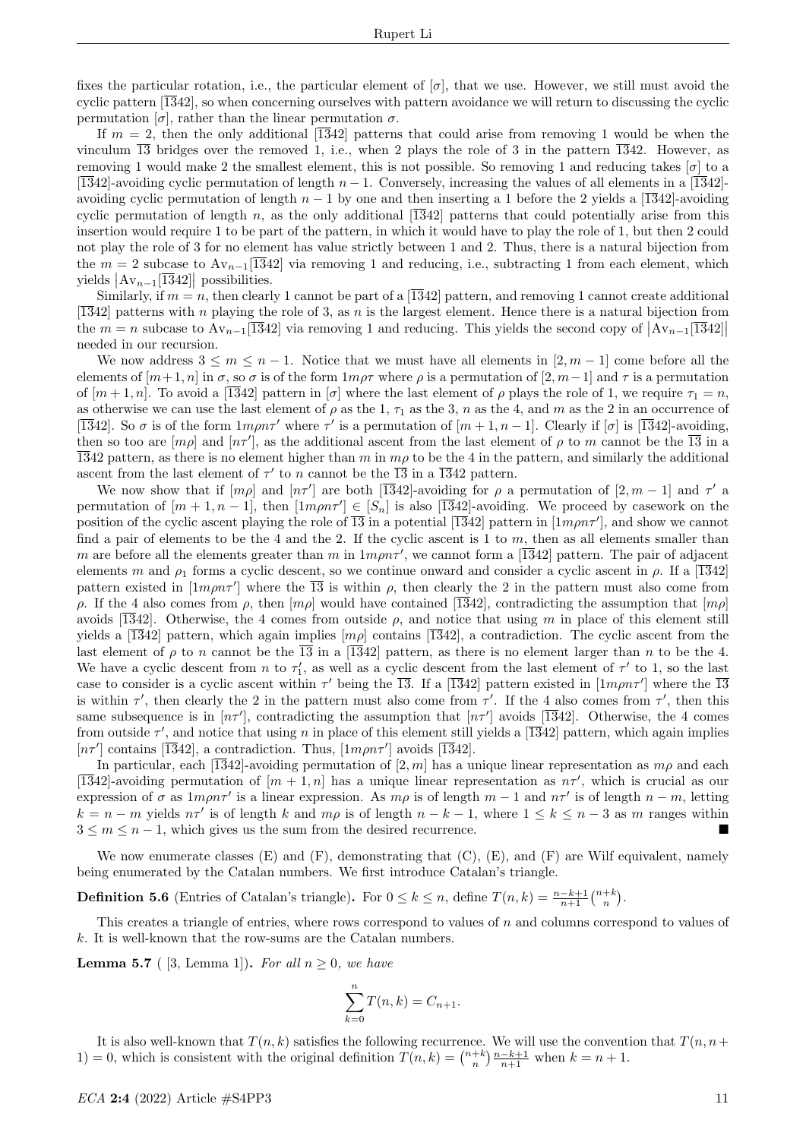fixes the particular rotation, i.e., the particular element of  $[\sigma]$ , that we use. However, we still must avoid the cyclic pattern  $\overline{1342}$ , so when concerning ourselves with pattern avoidance we will return to discussing the cyclic permutation  $[\sigma]$ , rather than the linear permutation  $\sigma$ .

If  $m = 2$ , then the only additional [1342] patterns that could arise from removing 1 would be when the vinculum  $\overline{13}$  bridges over the removed 1, i.e., when 2 plays the role of 3 in the pattern  $\overline{13}42$ . However, as removing 1 would make 2 the smallest element, this is not possible. So removing 1 and reducing takes  $[\sigma]$  to a [1342]-avoiding cyclic permutation of length  $n-1$ . Conversely, increasing the values of all elements in a [1342]avoiding cyclic permutation of length  $n - 1$  by one and then inserting a 1 before the 2 yields a [1342]-avoiding cyclic permutation of length n, as the only additional  $\overline{1342}$  patterns that could potentially arise from this insertion would require 1 to be part of the pattern, in which it would have to play the role of 1, but then 2 could not play the role of 3 for no element has value strictly between 1 and 2. Thus, there is a natural bijection from the  $m = 2$  subcase to  $Av_{n-1}[\overline{1342}]$  via removing 1 and reducing, i.e., subtracting 1 from each element, which yields  $\left|\text{Av}_{n-1}[\overline{13}42]\right|$  possibilities.

Similarly, if  $m = n$ , then clearly 1 cannot be part of a [1342] pattern, and removing 1 cannot create additional  $\overline{1342}$  patterns with n playing the role of 3, as n is the largest element. Hence there is a natural bijection from the  $m = n$  subcase to  $Av_{n-1}[\overline{13}42]$  via removing 1 and reducing. This yields the second copy of  $\vert Av_{n-1}[\overline{13}42] \vert$ needed in our recursion.

We now address  $3 \leq m \leq n-1$ . Notice that we must have all elements in  $[2, m-1]$  come before all the elements of  $[m+1,n]$  in  $\sigma$ , so  $\sigma$  is of the form  $1m\rho\tau$  where  $\rho$  is a permutation of  $[2,m-1]$  and  $\tau$  is a permutation of  $[m+1,n]$ . To avoid a  $\overline{1342}$  pattern in  $\sigma$  where the last element of  $\rho$  plays the role of 1, we require  $\tau_1 = n$ , as otherwise we can use the last element of  $\rho$  as the 1,  $\tau_1$  as the 3, n as the 4, and m as the 2 in an occurrence of [ $\overline{1342}$ ]. So  $\sigma$  is of the form  $1m\rho n\tau'$  where  $\tau'$  is a permutation of  $[m+1, n-1]$ . Clearly if  $[\sigma]$  is  $\overline{1342}$ -avoiding, then so too are  $[m\rho]$  and  $[n\tau']$ , as the additional ascent from the last element of  $\rho$  to m cannot be the  $\overline{13}$  in a  $\overline{1342}$  pattern, as there is no element higher than m in m<sub>p</sub> to be the 4 in the pattern, and similarly the additional ascent from the last element of  $\tau'$  to n cannot be the  $\overline{13}$  in a  $\overline{13}42$  pattern.

We now show that if  $[m\rho]$  and  $[n\tau']$  are both [1342]-avoiding for  $\rho$  a permutation of [2, m – 1] and  $\tau'$  a permutation of  $[m+1, n-1]$ , then  $[1m\rho n\tau'] \in [S_n]$  is also  $[1\overline{3}42]$ -avoiding. We proceed by casework on the position of the cyclic ascent playing the role of  $\overline{13}$  in a potential  $\overline{1342}$  pattern in  $[1m\rho n\tau']$ , and show we cannot find a pair of elements to be the 4 and the 2. If the cyclic ascent is 1 to  $m$ , then as all elements smaller than m are before all the elements greater than m in  $1m\rho n\tau'$ , we cannot form a [1342] pattern. The pair of adjacent elements m and  $\rho_1$  forms a cyclic descent, so we continue onward and consider a cyclic ascent in  $\rho$ . If a [1342] pattern existed in  $[1m\rho n\tau']$  where the  $\overline{13}$  is within  $\rho$ , then clearly the 2 in the pattern must also come from ρ. If the 4 also comes from ρ, then  $[m\rho]$  would have contained [1342], contradicting the assumption that  $[m\rho]$ avoids [1342]. Otherwise, the 4 comes from outside  $\rho$ , and notice that using m in place of this element still yields a [1342] pattern, which again implies  $[m\rho]$  contains [1342], a contradiction. The cyclic ascent from the last element of  $\rho$  to n cannot be the  $\overline{13}$  in a  $\overline{1342}$  pattern, as there is no element larger than n to be the 4. We have a cyclic descent from n to  $\tau'_1$ , as well as a cyclic descent from the last element of  $\tau'$  to 1, so the last case to consider is a cyclic ascent within  $\tau'$  being the  $\overline{13}$ . If a  $\overline{13}42$  pattern existed in  $[1m\rho n\tau']$  where the  $\overline{13}$ is within  $\tau'$ , then clearly the 2 in the pattern must also come from  $\tau'$ . If the 4 also comes from  $\tau'$ , then this same subsequence is in  $[n\tau']$ , contradicting the assumption that  $[n\tau']$  avoids  $\overline{1342}$ . Otherwise, the 4 comes from outside  $\tau'$ , and notice that using n in place of this element still yields a [1342] pattern, which again implies  $[n\tau']$  contains [1342], a contradiction. Thus, [ $1m\rho n\tau'$ ] avoids [1342].

In particular, each [1342]-avoiding permutation of [2, m] has a unique linear representation as  $m\rho$  and each [1342]-avoiding permutation of  $[m + 1, n]$  has a unique linear representation as  $n\tau'$ , which is crucial as our expression of  $\sigma$  as  $1m\rho n\tau'$  is a linear expression. As  $m\rho$  is of length  $m-1$  and  $n\tau'$  is of length  $n-m$ , letting  $k = n - m$  yields  $n\tau'$  is of length k and  $m\rho$  is of length  $n - k - 1$ , where  $1 \le k \le n - 3$  as m ranges within  $3 \leq m \leq n-1$ , which gives us the sum from the desired recurrence.

We now enumerate classes  $(E)$  and  $(F)$ , demonstrating that  $(C)$ ,  $(E)$ , and  $(F)$  are Wilf equivalent, namely being enumerated by the Catalan numbers. We first introduce Catalan's triangle.

**Definition 5.6** (Entries of Catalan's triangle). For  $0 \le k \le n$ , define  $T(n, k) = \frac{n-k+1}{n+1} {n+k \choose n}$ .

This creates a triangle of entries, where rows correspond to values of  $n$  and columns correspond to values of  $k$ . It is well-known that the row-sums are the Catalan numbers.

**Lemma 5.7** ( [3, Lemma 1]). For all  $n > 0$ , we have

$$
\sum_{k=0}^{n} T(n,k) = C_{n+1}.
$$

It is also well-known that  $T(n, k)$  satisfies the following recurrence. We will use the convention that  $T(n, n+1)$ 1) = 0, which is consistent with the original definition  $T(n,k) = \binom{n+k}{n} \frac{n-k+1}{n+1}$  when  $k = n + 1$ .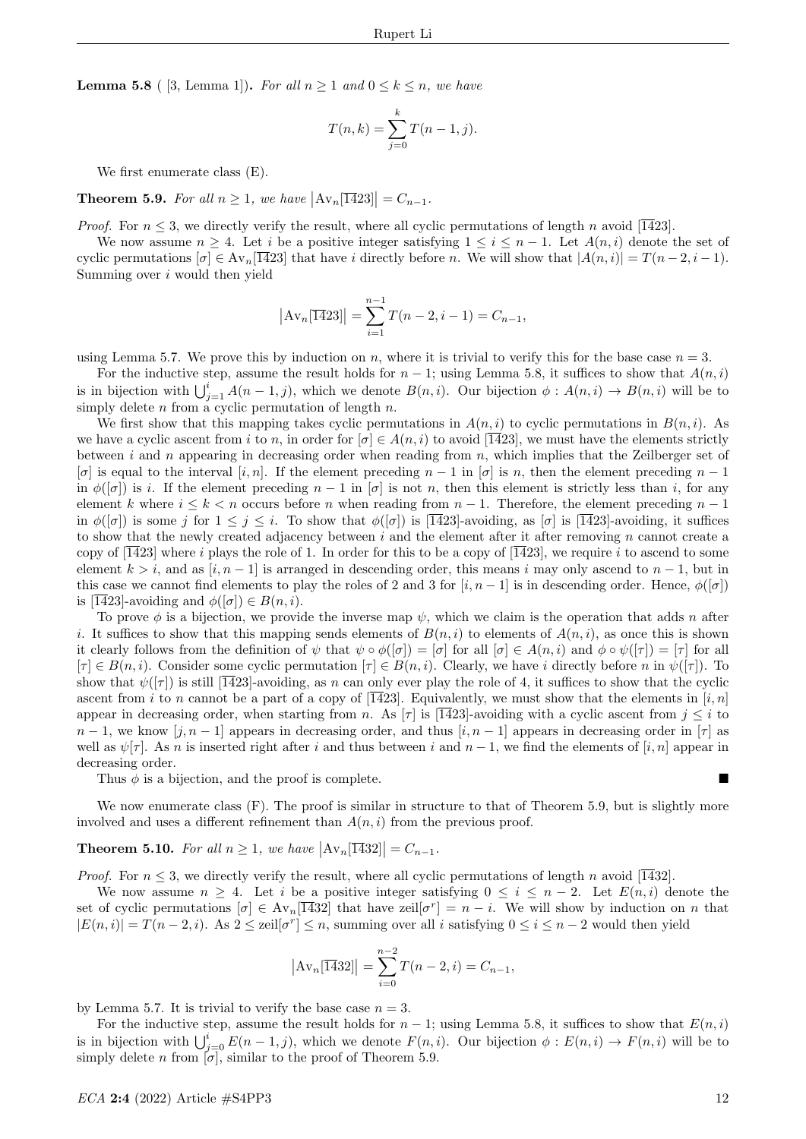**Lemma 5.8** ( [3, Lemma 1]). For all  $n \geq 1$  and  $0 \leq k \leq n$ , we have

$$
T(n,k) = \sum_{j=0}^{k} T(n-1,j).
$$

We first enumerate class (E).

**Theorem 5.9.** For all  $n \geq 1$ , we have  $|\text{Av}_n[\overline{14}23]| = C_{n-1}$ .

*Proof.* For  $n \leq 3$ , we directly verify the result, where all cyclic permutations of length n avoid [1423].

We now assume  $n \geq 4$ . Let i be a positive integer satisfying  $1 \leq i \leq n-1$ . Let  $A(n, i)$  denote the set of cyclic permutations  $[\sigma] \in Av_n[\overline{14}23]$  that have i directly before n. We will show that  $|A(n, i)| = T(n-2, i-1)$ . Summing over i would then yield

$$
|\mathrm{Av}_n[\overline{14}23]| = \sum_{i=1}^{n-1} T(n-2, i-1) = C_{n-1},
$$

using Lemma 5.7. We prove this by induction on n, where it is trivial to verify this for the base case  $n = 3$ .

For the inductive step, assume the result holds for  $n-1$ ; using Lemma 5.8, it suffices to show that  $A(n, i)$ is in bijection with  $\bigcup_{j=1}^{i} A(n-1, j)$ , which we denote  $B(n, i)$ . Our bijection  $\phi : A(n, i) \to B(n, i)$  will be to simply delete n from a cyclic permutation of length  $n$ .

We first show that this mapping takes cyclic permutations in  $A(n, i)$  to cyclic permutations in  $B(n, i)$ . As we have a cyclic ascent from i to n, in order for  $[\sigma] \in A(n, i)$  to avoid  $[\overline{1423}]$ , we must have the elements strictly between i and n appearing in decreasing order when reading from  $n$ , which implies that the Zeilberger set of  $[\sigma]$  is equal to the interval  $[i, n]$ . If the element preceding  $n - 1$  in  $[\sigma]$  is n, then the element preceding  $n - 1$ in  $\phi([\sigma])$  is i. If the element preceding  $n-1$  in  $[\sigma]$  is not n, then this element is strictly less than i, for any element k where  $i \leq k \leq n$  occurs before n when reading from  $n-1$ . Therefore, the element preceding  $n-1$ in  $\phi([\sigma])$  is some j for  $1 \leq j \leq i$ . To show that  $\phi([\sigma])$  is  $\overline{1423}$ -avoiding, as  $[\sigma]$  is  $\overline{1423}$ -avoiding, it suffices to show that the newly created adjacency between  $i$  and the element after it after removing  $n$  cannot create a copy of  $\overline{1423}$  where i plays the role of 1. In order for this to be a copy of  $\overline{1423}$ , we require i to ascend to some element  $k > i$ , and as  $[i, n-1]$  is arranged in descending order, this means i may only ascend to  $n-1$ , but in this case we cannot find elements to play the roles of 2 and 3 for  $[i, n-1]$  is in descending order. Hence,  $\phi([\sigma])$ is [ $\overline{14}23$ ]-avoiding and  $\phi([\sigma]) \in B(n, i)$ .

To prove  $\phi$  is a bijection, we provide the inverse map  $\psi$ , which we claim is the operation that adds n after i. It suffices to show that this mapping sends elements of  $B(n, i)$  to elements of  $A(n, i)$ , as once this is shown it clearly follows from the definition of  $\psi$  that  $\psi \circ \phi([\sigma]) = [\sigma]$  for all  $[\sigma] \in A(n,i)$  and  $\phi \circ \psi([\tau]) = [\tau]$  for all  $[\tau] \in B(n, i)$ . Consider some cyclic permutation  $[\tau] \in B(n, i)$ . Clearly, we have i directly before n in  $\psi([\tau])$ . To show that  $\psi([\tau])$  is still [1423]-avoiding, as n can only ever play the role of 4, it suffices to show that the cyclic ascent from i to n cannot be a part of a copy of  $\overline{1423}$ . Equivalently, we must show that the elements in  $\overline{[i,n]}$ appear in decreasing order, when starting from n. As  $[\tau]$  is  $[1423]$ -avoiding with a cyclic ascent from  $j \leq i$  to  $n-1$ , we know  $[j, n-1]$  appears in decreasing order, and thus  $[i, n-1]$  appears in decreasing order in  $[\tau]$  as well as  $\psi[\tau]$ . As n is inserted right after i and thus between i and  $n-1$ , we find the elements of [i, n] appear in decreasing order.

Thus  $\phi$  is a bijection, and the proof is complete.

We now enumerate class  $(F)$ . The proof is similar in structure to that of Theorem 5.9, but is slightly more involved and uses a different refinement than  $A(n, i)$  from the previous proof.

## **Theorem 5.10.** For all  $n \geq 1$ , we have  $|\text{Av}_n[\overline{14}32]| = C_{n-1}$ .

*Proof.* For  $n \leq 3$ , we directly verify the result, where all cyclic permutations of length n avoid [1432].

We now assume  $n \geq 4$ . Let i be a positive integer satisfying  $0 \leq i \leq n-2$ . Let  $E(n, i)$  denote the set of cyclic permutations  $[\sigma] \in Av_n[\overline{14}32]$  that have zeil $[\sigma^r] = n - i$ . We will show by induction on n that  $|E(n, i)| = T(n-2, i)$ . As  $2 \leq \text{ceil}[\sigma^r] \leq n$ , summing over all i satisfying  $0 \leq i \leq n-2$  would then yield

$$
|\mathrm{Av}_n[\overline{14}32]| = \sum_{i=0}^{n-2} T(n-2, i) = C_{n-1},
$$

by Lemma 5.7. It is trivial to verify the base case  $n = 3$ .

For the inductive step, assume the result holds for  $n-1$ ; using Lemma 5.8, it suffices to show that  $E(n, i)$ is in bijection with  $\bigcup_{j=0}^{i} E(n-1, j)$ , which we denote  $F(n, i)$ . Our bijection  $\phi : E(n, i) \to F(n, i)$  will be to simply delete n from  $[\sigma]$ , similar to the proof of Theorem 5.9.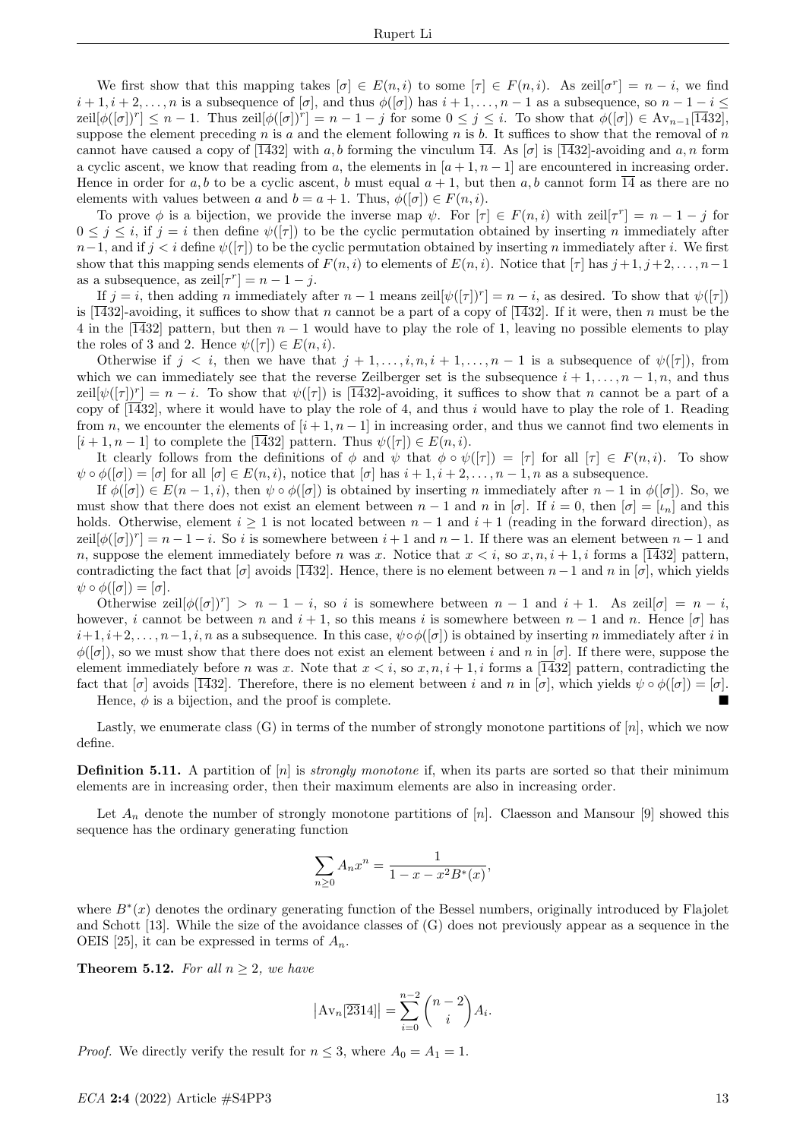We first show that this mapping takes  $[\sigma] \in E(n, i)$  to some  $[\tau] \in F(n, i)$ . As zeil $[\sigma^r] = n - i$ , we find  $i+1, i+2, \ldots, n$  is a subsequence of  $[\sigma]$ , and thus  $\phi([\sigma])$  has  $i+1, \ldots, n-1$  as a subsequence, so  $n-1-i \leq$  $\text{zeil}[\phi([\sigma])^r] \leq n-1$ . Thus  $\text{zeil}[\phi([\sigma])^r] = n-1-j$  for some  $0 \leq j \leq i$ . To show that  $\phi([\sigma]) \in \text{Av}_{n-1}[\overline{1432}]$ , suppose the element preceding n is a and the element following n is b. It suffices to show that the removal of  $n$ cannot have caused a copy of  $\overline{1432}$  with a, b forming the vinculum  $\overline{14}$ . As  $\sigma$  is  $\overline{1432}$ -avoiding and a, n form a cyclic ascent, we know that reading from a, the elements in  $[a + 1, n - 1]$  are encountered in increasing order. Hence in order for a, b to be a cyclic ascent, b must equal  $a + 1$ , but then a, b cannot form  $\overline{14}$  as there are no elements with values between a and  $b = a + 1$ . Thus,  $\phi([\sigma]) \in F(n, i)$ .

To prove  $\phi$  is a bijection, we provide the inverse map  $\psi$ . For  $[\tau] \in F(n,i)$  with zeil $[\tau^r] = n - 1 - j$  for  $0 \leq j \leq i$ , if  $j = i$  then define  $\psi([\tau])$  to be the cyclic permutation obtained by inserting *n* immediately after  $n-1$ , and if  $j < i$  define  $\psi([\tau])$  to be the cyclic permutation obtained by inserting n immediately after i. We first show that this mapping sends elements of  $F(n, i)$  to elements of  $E(n, i)$ . Notice that  $[\tau]$  has  $j + 1, j + 2, \ldots, n-1$ as a subsequence, as  $\mathrm{zeil}[\tau^r] = n - 1 - j$ .

If  $j = i$ , then adding n immediately after  $n - 1$  means zeil $[\psi([\tau])^r] = n - i$ , as desired. To show that  $\psi([\tau])$ is [1432]-avoiding, it suffices to show that n cannot be a part of a copy of [1432]. If it were, then n must be the 4 in the [1432] pattern, but then  $n-1$  would have to play the role of 1, leaving no possible elements to play the roles of 3 and 2. Hence  $\psi([\tau]) \in E(n, i)$ .

Otherwise if  $j < i$ , then we have that  $j + 1, \ldots, i, n, i + 1, \ldots, n - 1$  is a subsequence of  $\psi([\tau])$ , from which we can immediately see that the reverse Zeilberger set is the subsequence  $i + 1, \ldots, n - 1, n$ , and thus zeil $[\psi([\tau])^r] = n - i$ . To show that  $\psi([\tau])$  is  $\overline{14}32$ -avoiding, it suffices to show that n cannot be a part of a copy of  $\overline{1432}$ , where it would have to play the role of 4, and thus i would have to play the role of 1. Reading from n, we encounter the elements of  $[i+1, n-1]$  in increasing order, and thus we cannot find two elements in  $[i+1, n-1]$  to complete the [1432] pattern. Thus  $\psi([\tau]) \in E(n, i)$ .

It clearly follows from the definitions of  $\phi$  and  $\psi$  that  $\phi \circ \psi([\tau]) = [\tau]$  for all  $[\tau] \in F(n,i)$ . To show  $\psi \circ \phi([\sigma]) = [\sigma]$  for all  $[\sigma] \in E(n, i)$ , notice that  $[\sigma]$  has  $i + 1, i + 2, \ldots, n - 1, n$  as a subsequence.

If  $\phi([\sigma]) \in E(n-1,i)$ , then  $\psi \circ \phi([\sigma])$  is obtained by inserting n immediately after  $n-1$  in  $\phi([\sigma])$ . So, we must show that there does not exist an element between  $n-1$  and n in  $[\sigma]$ . If  $i=0$ , then  $[\sigma] = [\iota_n]$  and this holds. Otherwise, element  $i \geq 1$  is not located between  $n-1$  and  $i+1$  (reading in the forward direction), as  $\text{zeil}[\phi([\sigma])^r] = n - 1 - i$ . So i is somewhere between  $i + 1$  and  $n - 1$ . If there was an element between  $n - 1$  and n, suppose the element immediately before n was x. Notice that  $x < i$ , so  $x, n, i + 1, i$  forms a [1432] pattern, contradicting the fact that  $\sigma$  avoids  $\overline{1432}$ . Hence, there is no element between  $n-1$  and n in  $\sigma$ , which yields  $\psi \circ \phi([\sigma]) = [\sigma].$ 

Otherwise zeil $[\phi([\sigma])^r] > n - 1 - i$ , so i is somewhere between  $n - 1$  and  $i + 1$ . As zeil $[\sigma] = n - i$ , however, i cannot be between n and  $i + 1$ , so this means i is somewhere between  $n - 1$  and n. Hence [ $\sigma$ ] has  $i+1, i+2, \ldots, n-1, i, n$  as a subsequence. In this case,  $\psi \circ \phi([\sigma])$  is obtained by inserting n immediately after i in  $\phi([\sigma])$ , so we must show that there does not exist an element between i and n in  $[\sigma]$ . If there were, suppose the element immediately before n was x. Note that  $x < i$ , so  $x, n, i + 1, i$  forms a [1432] pattern, contradicting the fact that  $[\sigma]$  avoids  $[1432]$ . Therefore, there is no element between i and n in  $[\sigma]$ , which yields  $\psi \circ \phi([\sigma]) = [\sigma]$ .

Hence,  $\phi$  is a bijection, and the proof is complete.

Lastly, we enumerate class  $(G)$  in terms of the number of strongly monotone partitions of  $[n]$ , which we now define.

**Definition 5.11.** A partition of  $[n]$  is *strongly monotone* if, when its parts are sorted so that their minimum elements are in increasing order, then their maximum elements are also in increasing order.

Let  $A_n$  denote the number of strongly monotone partitions of  $[n]$ . Claesson and Mansour [9] showed this sequence has the ordinary generating function

$$
\sum_{n\geq 0} A_n x^n = \frac{1}{1 - x - x^2 B^*(x)},
$$

where  $B^*(x)$  denotes the ordinary generating function of the Bessel numbers, originally introduced by Flajolet and Schott [13]. While the size of the avoidance classes of (G) does not previously appear as a sequence in the OEIS [25], it can be expressed in terms of  $A_n$ .

**Theorem 5.12.** For all  $n \geq 2$ , we have

$$
|\mathrm{Av}_n[\overline{23}14]| = \sum_{i=0}^{n-2} {n-2 \choose i} A_i.
$$

*Proof.* We directly verify the result for  $n \leq 3$ , where  $A_0 = A_1 = 1$ .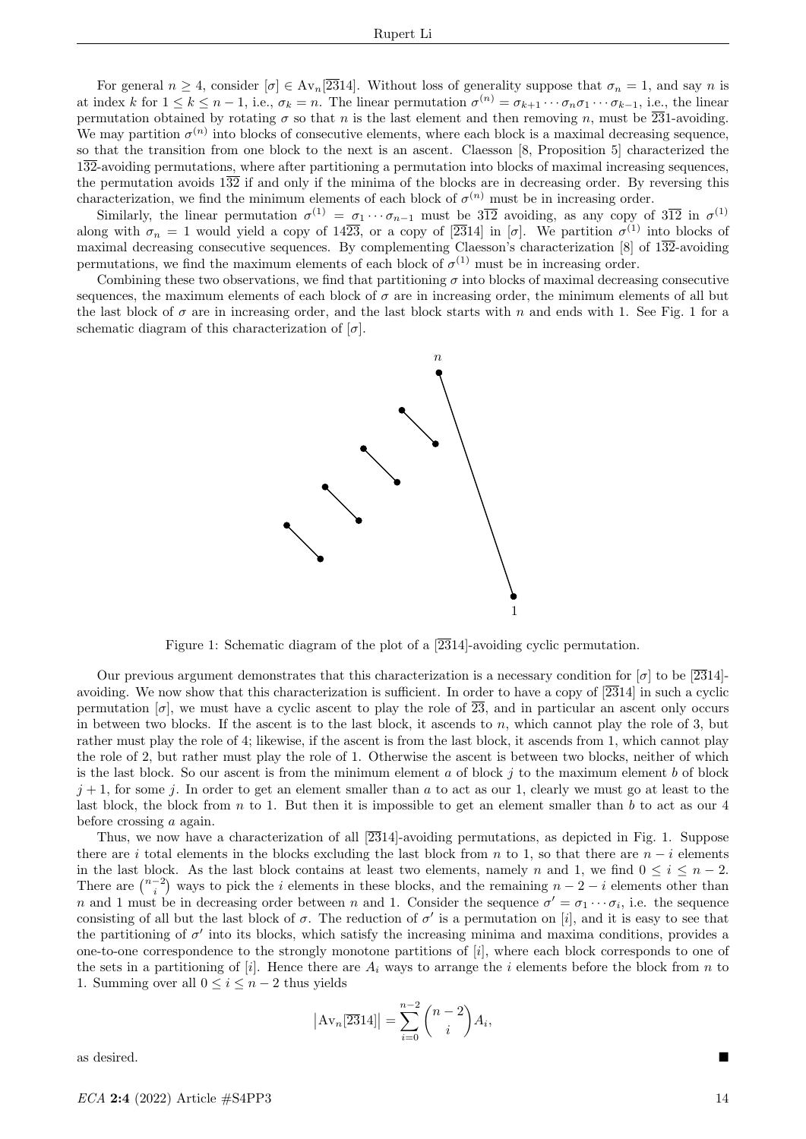For general  $n \geq 4$ , consider  $[\sigma] \in \text{Av}_n[\overline{23}14]$ . Without loss of generality suppose that  $\sigma_n = 1$ , and say n is at index k for  $1 \leq k \leq n-1$ , i.e.,  $\sigma_k = n$ . The linear permutation  $\sigma^{(n)} = \sigma_{k+1} \cdots \sigma_n \sigma_1 \cdots \sigma_{k-1}$ , i.e., the linear permutation obtained by rotating  $\sigma$  so that n is the last element and then removing n, must be  $\overline{231}$ -avoiding. We may partition  $\sigma^{(n)}$  into blocks of consecutive elements, where each block is a maximal decreasing sequence, so that the transition from one block to the next is an ascent. Claesson [8, Proposition 5] characterized the 132-avoiding permutations, where after partitioning a permutation into blocks of maximal increasing sequences, the permutation avoids  $1\overline{32}$  if and only if the minima of the blocks are in decreasing order. By reversing this characterization, we find the minimum elements of each block of  $\sigma^{(n)}$  must be in increasing order.

Similarly, the linear permutation  $\sigma^{(1)} = \sigma_1 \cdots \sigma_{n-1}$  must be  $3\overline{12}$  avoiding, as any copy of  $3\overline{12}$  in  $\sigma^{(1)}$ along with  $\sigma_n = 1$  would yield a copy of  $14\overline{23}$ , or a copy of  $\overline{2314}$  in  $\sigma$ . We partition  $\sigma^{(1)}$  into blocks of maximal decreasing consecutive sequences. By complementing Claesson's characterization [8] of  $132$ -avoiding permutations, we find the maximum elements of each block of  $\sigma^{(1)}$  must be in increasing order.

Combining these two observations, we find that partitioning  $\sigma$  into blocks of maximal decreasing consecutive sequences, the maximum elements of each block of  $\sigma$  are in increasing order, the minimum elements of all but the last block of  $\sigma$  are in increasing order, and the last block starts with n and ends with 1. See Fig. 1 for a schematic diagram of this characterization of  $[\sigma]$ .



Figure 1: Schematic diagram of the plot of a  $\sqrt{2314}$ -avoiding cyclic permutation.

Our previous argument demonstrates that this characterization is a necessary condition for  $\sigma$  to be [2314]avoiding. We now show that this characterization is sufficient. In order to have a copy of  $\sqrt{2314}$  in such a cyclic permutation  $[\sigma]$ , we must have a cyclic ascent to play the role of  $\overline{23}$ , and in particular an ascent only occurs in between two blocks. If the ascent is to the last block, it ascends to n, which cannot play the role of 3, but rather must play the role of 4; likewise, if the ascent is from the last block, it ascends from 1, which cannot play the role of 2, but rather must play the role of 1. Otherwise the ascent is between two blocks, neither of which is the last block. So our ascent is from the minimum element a of block  $j$  to the maximum element b of block  $j + 1$ , for some j. In order to get an element smaller than a to act as our 1, clearly we must go at least to the last block, the block from  $n$  to 1. But then it is impossible to get an element smaller than  $b$  to act as our 4 before crossing a again.

Thus, we now have a characterization of all  $\sqrt{2314}$ -avoiding permutations, as depicted in Fig. 1. Suppose there are i total elements in the blocks excluding the last block from n to 1, so that there are  $n-i$  elements in the last block. As the last block contains at least two elements, namely n and 1, we find  $0 \le i \le n-2$ . There are  $\binom{n-2}{i}$  ways to pick the *i* elements in these blocks, and the remaining  $n-2-i$  elements other than n and 1 must be in decreasing order between n and 1. Consider the sequence  $\sigma' = \sigma_1 \cdots \sigma_i$ , i.e. the sequence consisting of all but the last block of  $\sigma$ . The reduction of  $\sigma'$  is a permutation on [i], and it is easy to see that the partitioning of  $\sigma'$  into its blocks, which satisfy the increasing minima and maxima conditions, provides a one-to-one correspondence to the strongly monotone partitions of [i], where each block corresponds to one of the sets in a partitioning of [i]. Hence there are  $A_i$  ways to arrange the i elements before the block from n to 1. Summing over all  $0 \leq i \leq n-2$  thus yields

$$
|\mathrm{Av}_n[\overline{23}14]| = \sum_{i=0}^{n-2} \binom{n-2}{i} A_i,
$$

as desired.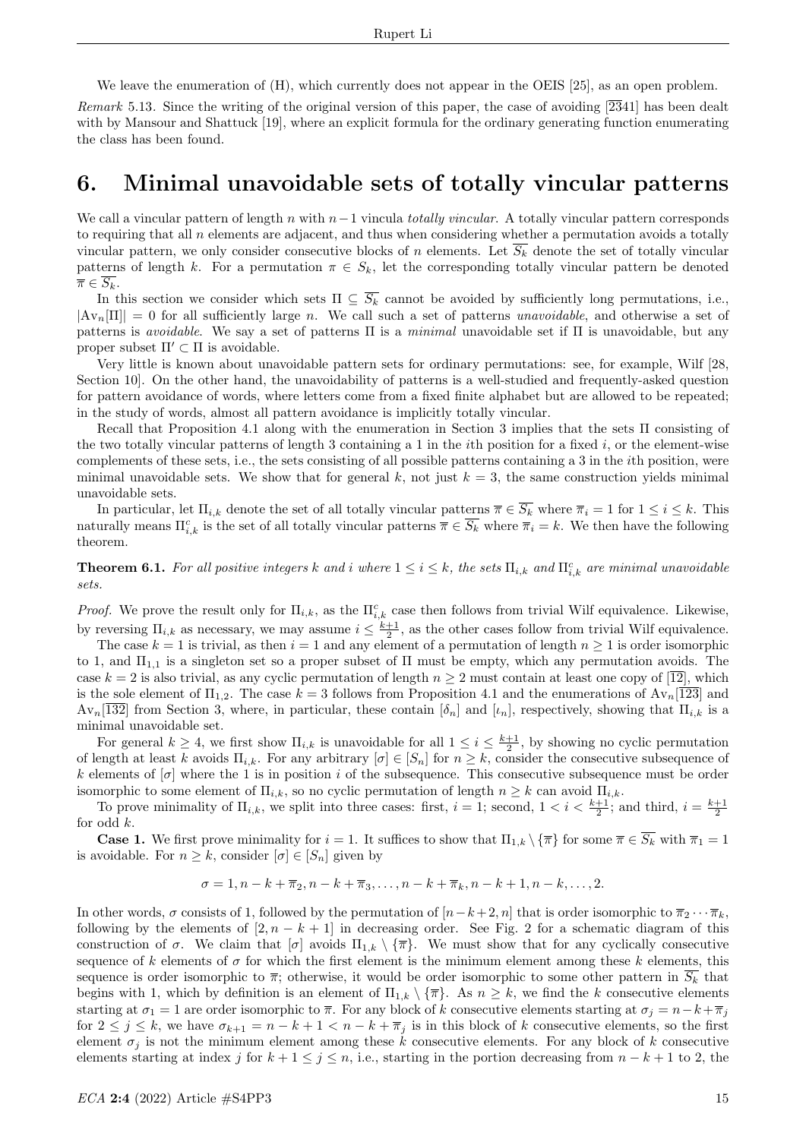We leave the enumeration of (H), which currently does not appear in the OEIS [25], as an open problem.

Remark 5.13. Since the writing of the original version of this paper, the case of avoiding  $\sqrt{2341}$  has been dealt with by Mansour and Shattuck [19], where an explicit formula for the ordinary generating function enumerating the class has been found.

# 6. Minimal unavoidable sets of totally vincular patterns

We call a vincular pattern of length n with  $n-1$  vincula totally vincular. A totally vincular pattern corresponds to requiring that all n elements are adjacent, and thus when considering whether a permutation avoids a totally vincular pattern, we only consider consecutive blocks of n elements. Let  $\overline{S_k}$  denote the set of totally vincular patterns of length k. For a permutation  $\pi \in S_k$ , let the corresponding totally vincular pattern be denoted  $\overline{\pi} \in \overline{S_k}$ .

In this section we consider which sets  $\Pi \subseteq \overline{S_k}$  cannot be avoided by sufficiently long permutations, i.e.,  $|\text{Av}_n[\Pi]| = 0$  for all sufficiently large *n*. We call such a set of patterns unavoidable, and otherwise a set of patterns is *avoidable*. We say a set of patterns  $\Pi$  is a *minimal* unavoidable set if  $\Pi$  is unavoidable, but any proper subset  $\Pi' \subset \Pi$  is avoidable.

Very little is known about unavoidable pattern sets for ordinary permutations: see, for example, Wilf [28, Section 10]. On the other hand, the unavoidability of patterns is a well-studied and frequently-asked question for pattern avoidance of words, where letters come from a fixed finite alphabet but are allowed to be repeated; in the study of words, almost all pattern avoidance is implicitly totally vincular.

Recall that Proposition 4.1 along with the enumeration in Section 3 implies that the sets Π consisting of the two totally vincular patterns of length 3 containing a 1 in the *i*th position for a fixed *i*, or the element-wise complements of these sets, i.e., the sets consisting of all possible patterns containing a 3 in the ith position, were minimal unavoidable sets. We show that for general k, not just  $k = 3$ , the same construction yields minimal unavoidable sets.

In particular, let  $\Pi_{i,k}$  denote the set of all totally vincular patterns  $\overline{\pi} \in \overline{S_k}$  where  $\overline{\pi}_i = 1$  for  $1 \leq i \leq k$ . This naturally means  $\Pi_{i,k}^c$  is the set of all totally vincular patterns  $\overline{\pi} \in \overline{S_k}$  where  $\overline{\pi}_i = k$ . We then have the following theorem.

**Theorem 6.1.** For all positive integers k and i where  $1 \le i \le k$ , the sets  $\Pi_{i,k}$  and  $\Pi_{i,k}^c$  are minimal unavoidable sets.

Proof. We prove the result only for  $\Pi_{i,k}$ , as the  $\Pi_{i,k}^c$  case then follows from trivial Wilf equivalence. Likewise, by reversing  $\Pi_{i,k}$  as necessary, we may assume  $i \leq \frac{k+1}{2}$ , as the other cases follow from trivial Wilf equivalence.

The case  $k = 1$  is trivial, as then  $i = 1$  and any element of a permutation of length  $n \ge 1$  is order isomorphic to 1, and  $\Pi_{1,1}$  is a singleton set so a proper subset of  $\Pi$  must be empty, which any permutation avoids. The case  $k = 2$  is also trivial, as any cyclic permutation of length  $n \ge 2$  must contain at least one copy of  $\overline{12}$ , which is the sole element of  $\Pi_{1,2}$ . The case  $k = 3$  follows from Proposition 4.1 and the enumerations of  $Av_n[123]$  and  $Av_n[\overline{132}]$  from Section 3, where, in particular, these contain  $[\delta_n]$  and  $[\iota_n]$ , respectively, showing that  $\Pi_{i,k}$  is a minimal unavoidable set.

For general  $k \geq 4$ , we first show  $\Pi_{i,k}$  is unavoidable for all  $1 \leq i \leq \frac{k+1}{2}$ , by showing no cyclic permutation of length at least k avoids  $\Pi_{i,k}$ . For any arbitrary  $[\sigma] \in [S_n]$  for  $n \geq k$ , consider the consecutive subsequence of k elements of  $[\sigma]$  where the 1 is in position i of the subsequence. This consecutive subsequence must be order isomorphic to some element of  $\Pi_{i,k}$ , so no cyclic permutation of length  $n \geq k$  can avoid  $\Pi_{i,k}$ .

To prove minimality of  $\Pi_{i,k}$ , we split into three cases: first,  $i = 1$ ; second,  $1 < i < \frac{k+1}{2}$ ; and third,  $i = \frac{k+1}{2}$ for odd  $k$ .

**Case 1.** We first prove minimality for  $i = 1$ . It suffices to show that  $\Pi_{1,k} \setminus {\{\overline{\pi}\}}$  for some  $\overline{\pi} \in \overline{S_k}$  with  $\overline{\pi}_1 = 1$ is avoidable. For  $n \geq k$ , consider  $[\sigma] \in [S_n]$  given by

$$
\sigma = 1, n - k + \overline{\pi}_2, n - k + \overline{\pi}_3, \dots, n - k + \overline{\pi}_k, n - k + 1, n - k, \dots, 2.
$$

In other words,  $\sigma$  consists of 1, followed by the permutation of  $[n-k+2, n]$  that is order isomorphic to  $\overline{\pi}_2 \cdots \overline{\pi}_k$ , following by the elements of  $[2, n - k + 1]$  in decreasing order. See Fig. 2 for a schematic diagram of this construction of  $\sigma$ . We claim that  $[\sigma]$  avoids  $\Pi_{1,k} \setminus {\overline{\pi}}$ . We must show that for any cyclically consecutive sequence of k elements of  $\sigma$  for which the first element is the minimum element among these k elements, this sequence is order isomorphic to  $\overline{\pi}$ ; otherwise, it would be order isomorphic to some other pattern in  $\overline{S_k}$  that begins with 1, which by definition is an element of  $\Pi_{1,k} \setminus {\{\overline{\pi}\}}$ . As  $n \geq k$ , we find the k consecutive elements starting at  $\sigma_1 = 1$  are order isomorphic to  $\bar{\pi}$ . For any block of k consecutive elements starting at  $\sigma_j = n - k + \bar{\pi}_j$ for  $2 \le j \le k$ , we have  $\sigma_{k+1} = n - k + 1 < n - k + \overline{\pi}_j$  is in this block of k consecutive elements, so the first element  $\sigma_i$  is not the minimum element among these k consecutive elements. For any block of k consecutive elements starting at index j for  $k + 1 \le j \le n$ , i.e., starting in the portion decreasing from  $n - k + 1$  to 2, the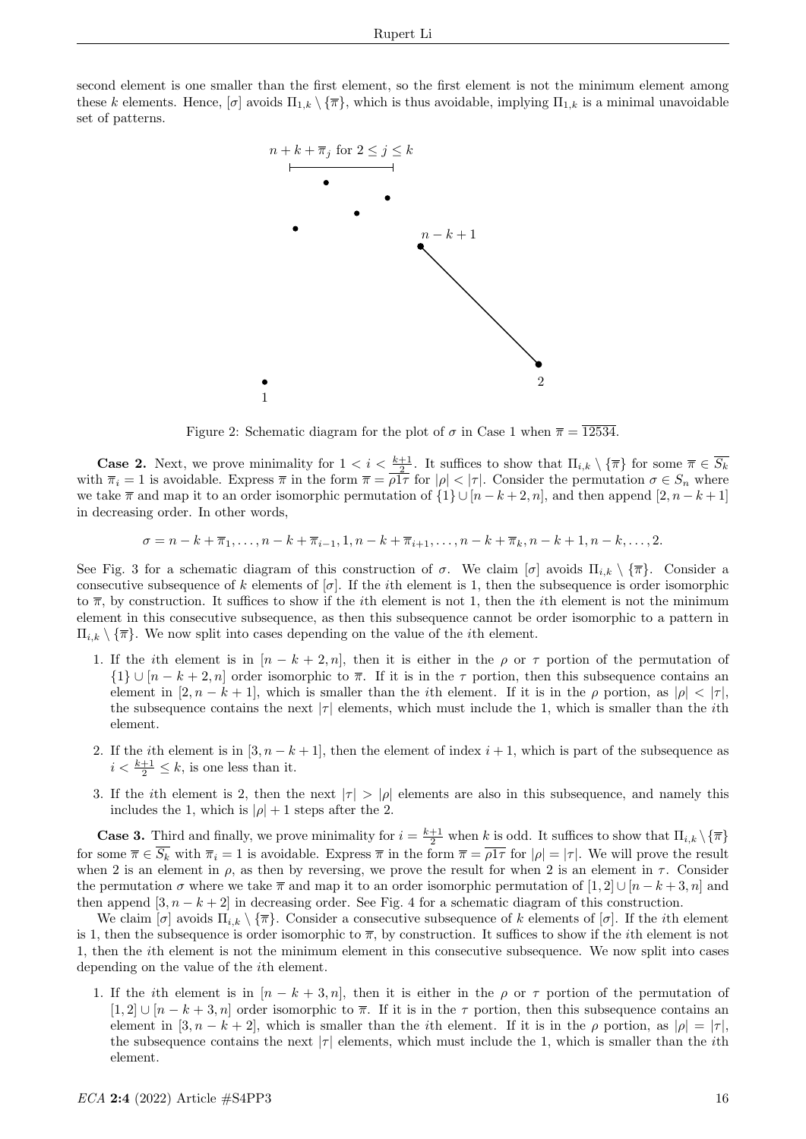second element is one smaller than the first element, so the first element is not the minimum element among these k elements. Hence,  $[\sigma]$  avoids  $\Pi_{1,k} \setminus {\{\overline{\pi}\}}$ , which is thus avoidable, implying  $\Pi_{1,k}$  is a minimal unavoidable set of patterns.



Figure 2: Schematic diagram for the plot of  $\sigma$  in Case 1 when  $\bar{\pi} = \overline{12534}$ .

**Case 2.** Next, we prove minimality for  $1 < i < \frac{k+1}{2}$ . It suffices to show that  $\Pi_{i,k} \setminus {\{\overline{\pi}\}}$  for some  $\overline{\pi} \in \overline{S_k}$ with  $\overline{\pi}_i = 1$  is avoidable. Express  $\overline{\pi}$  in the form  $\overline{\pi} = \rho \overline{1} \tau$  for  $|\rho| < |\tau|$ . Consider the permutation  $\sigma \in S_n$  where we take  $\bar{\pi}$  and map it to an order isomorphic permutation of  $\{1\} \cup [n-k+2, n]$ , and then append  $[2, n-k+1]$ in decreasing order. In other words,

 $\sigma = n - k + \overline{\pi}_1, \ldots, n - k + \overline{\pi}_{i-1}, 1, n - k + \overline{\pi}_{i+1}, \ldots, n - k + \overline{\pi}_k, n - k + 1, n - k, \ldots, 2.$ 

See Fig. 3 for a schematic diagram of this construction of  $\sigma$ . We claim  $[\sigma]$  avoids  $\Pi_{i,k} \setminus {\overline{\pi}}$ . Consider a consecutive subsequence of k elements of  $[\sigma]$ . If the *i*th element is 1, then the subsequence is order isomorphic to  $\bar{\pi}$ , by construction. It suffices to show if the *i*th element is not 1, then the *i*th element is not the minimum element in this consecutive subsequence, as then this subsequence cannot be order isomorphic to a pattern in  $\Pi_{i,k} \setminus {\{\overline{\pi}\}}$ . We now split into cases depending on the value of the *i*th element.

- 1. If the ith element is in  $[n k + 2, n]$ , then it is either in the  $\rho$  or  $\tau$  portion of the permutation of  $\{1\} \cup [n-k+2,n]$  order isomorphic to  $\overline{\pi}$ . If it is in the  $\tau$  portion, then this subsequence contains an element in  $[2, n-k+1]$ , which is smaller than the *i*th element. If it is in the  $\rho$  portion, as  $|\rho| < |\tau|$ , the subsequence contains the next  $|\tau|$  elements, which must include the 1, which is smaller than the *i*th element.
- 2. If the *i*th element is in [3,  $n k + 1$ ], then the element of index  $i + 1$ , which is part of the subsequence as  $i < \frac{k+1}{2} \leq k$ , is one less than it.
- 3. If the *i*th element is 2, then the next  $|\tau| > |\rho|$  elements are also in this subsequence, and namely this includes the 1, which is  $|\rho| + 1$  steps after the 2.

**Case 3.** Third and finally, we prove minimality for  $i = \frac{k+1}{2}$  when k is odd. It suffices to show that  $\Pi_{i,k} \setminus {\{\overline{\pi}\}}$ for some  $\overline{\pi} \in \overline{S_k}$  with  $\overline{\pi}_i = 1$  is avoidable. Express  $\overline{\pi}$  in the form  $\overline{\pi} = \overline{\rho 1\tau}$  for  $|\rho| = |\tau|$ . We will prove the result when 2 is an element in  $\rho$ , as then by reversing, we prove the result for when 2 is an element in  $\tau$ . Consider the permutation  $\sigma$  where we take  $\bar{\pi}$  and map it to an order isomorphic permutation of [1, 2] ∪ [n − k + 3, n] and then append  $[3, n - k + 2]$  in decreasing order. See Fig. 4 for a schematic diagram of this construction.

We claim  $[\sigma]$  avoids  $\Pi_{i,k} \setminus {\{\overline{\pi}\}}$ . Consider a consecutive subsequence of k elements of  $[\sigma]$ . If the *i*th element is 1, then the subsequence is order isomorphic to  $\bar{\pi}$ , by construction. It suffices to show if the *i*th element is not 1, then the ith element is not the minimum element in this consecutive subsequence. We now split into cases depending on the value of the ith element.

1. If the ith element is in  $[n - k + 3, n]$ , then it is either in the  $\rho$  or  $\tau$  portion of the permutation of  $[1, 2] \cup [n - k + 3, n]$  order isomorphic to  $\overline{\pi}$ . If it is in the  $\tau$  portion, then this subsequence contains an element in  $[3, n-k+2]$ , which is smaller than the *i*th element. If it is in the  $\rho$  portion, as  $|\rho| = |\tau|$ , the subsequence contains the next  $|\tau|$  elements, which must include the 1, which is smaller than the *i*th element.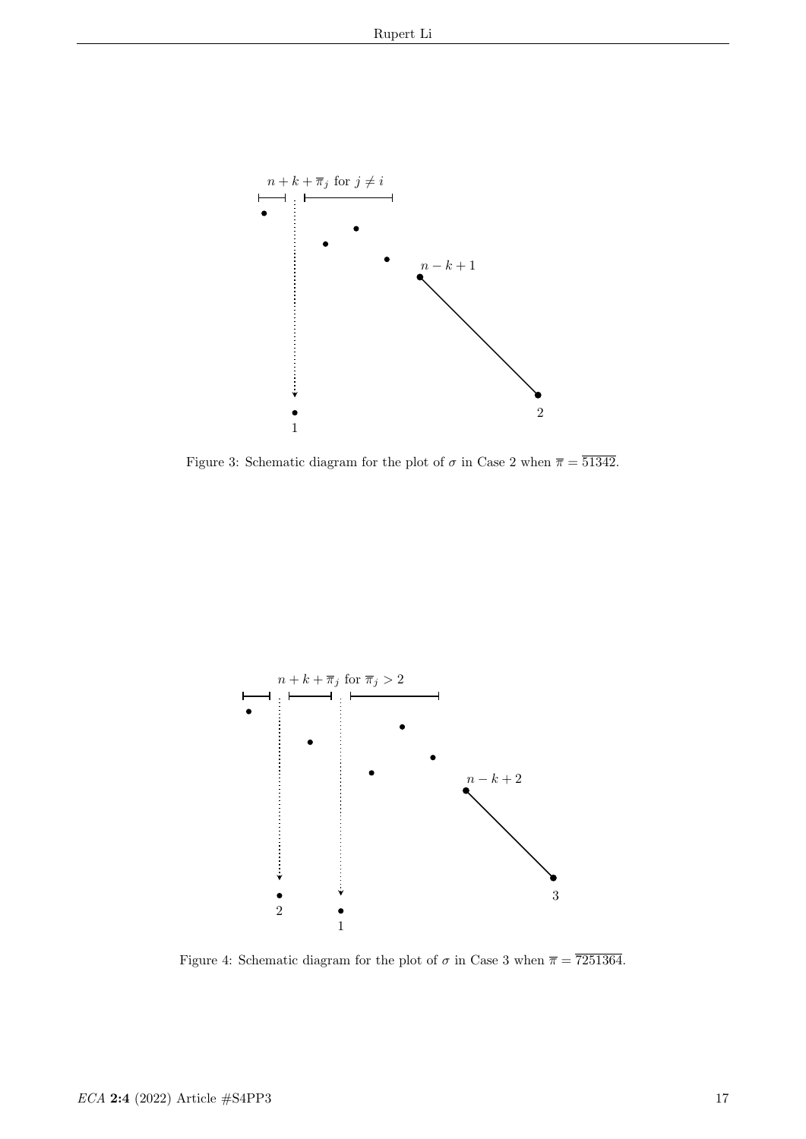

Figure 3: Schematic diagram for the plot of  $\sigma$  in Case 2 when  $\overline{\pi} = \overline{51342}$ .



Figure 4: Schematic diagram for the plot of  $\sigma$  in Case 3 when  $\bar{\pi} = 7251364$ .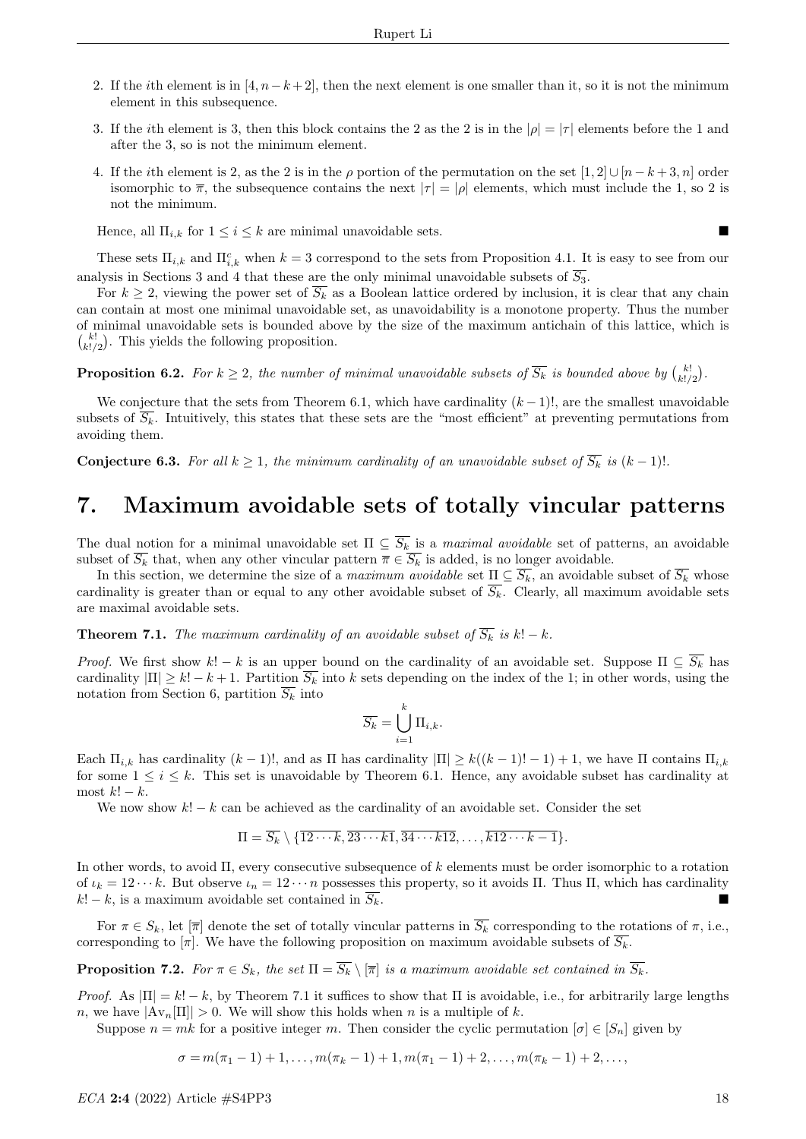- 2. If the *i*th element is in [4,  $n-k+2$ ], then the next element is one smaller than it, so it is not the minimum element in this subsequence.
- 3. If the *i*th element is 3, then this block contains the 2 as the 2 is in the  $|\rho| = |\tau|$  elements before the 1 and after the 3, so is not the minimum element.
- 4. If the *i*th element is 2, as the 2 is in the  $\rho$  portion of the permutation on the set  $[1, 2] \cup [n k + 3, n]$  order isomorphic to  $\overline{\pi}$ , the subsequence contains the next  $|\tau| = |\rho|$  elements, which must include the 1, so 2 is not the minimum.

Hence, all  $\Pi_{i,k}$  for  $1 \leq i \leq k$  are minimal unavoidable sets.

These sets  $\Pi_{i,k}$  and  $\Pi_{i,k}^c$  when  $k=3$  correspond to the sets from Proposition 4.1. It is easy to see from our analysis in Sections 3 and 4 that these are the only minimal unavoidable subsets of  $\overline{S_3}$ .

For  $k \geq 2$ , viewing the power set of  $\overline{S_k}$  as a Boolean lattice ordered by inclusion, it is clear that any chain can contain at most one minimal unavoidable set, as unavoidability is a monotone property. Thus the number of minimal unavoidable sets is bounded above by the size of the maximum antichain of this lattice, which is  $\binom{k!}{k!/2}$ . This yields the following proposition.

**Proposition 6.2.** For  $k \geq 2$ , the number of minimal unavoidable subsets of  $\overline{S_k}$  is bounded above by  $\binom{k!}{k!/2}$ .

We conjecture that the sets from Theorem 6.1, which have cardinality  $(k-1)!$ , are the smallest unavoidable subsets of  $\overline{S_k}$ . Intuitively, this states that these sets are the "most efficient" at preventing permutations from avoiding them.

**Conjecture 6.3.** For all  $k \geq 1$ , the minimum cardinality of an unavoidable subset of  $\overline{S_k}$  is  $(k-1)!$ .

# 7. Maximum avoidable sets of totally vincular patterns

The dual notion for a minimal unavoidable set  $\Pi \subseteq \overline{S_k}$  is a *maximal avoidable* set of patterns, an avoidable subset of  $\overline{S_k}$  that, when any other vincular pattern  $\overline{\pi} \in \overline{S_k}$  is added, is no longer avoidable.

In this section, we determine the size of a maximum avoidable set  $\underline{\Pi} \subseteq \overline{S_k}$ , an avoidable subset of  $\overline{S_k}$  whose cardinality is greater than or equal to any other avoidable subset of  $\overline{S_k}$ . Clearly, all maximum avoidable sets are maximal avoidable sets.

**Theorem 7.1.** The maximum cardinality of an avoidable subset of  $\overline{S_k}$  is k! – k.

*Proof.* We first show  $k! - k$  is an upper bound on the cardinality of an avoidable set. Suppose  $\Pi \subseteq \overline{S_k}$  has cardinality  $|\Pi| \geq k! - k + 1$ . Partition  $\overline{S_k}$  into k sets depending on the index of the 1; in other words, using the notation from Section 6, partition  $\overline{S_k}$  into

$$
\overline{S_k} = \bigcup_{i=1}^k \Pi_{i,k}.
$$

Each  $\Pi_{i,k}$  has cardinality  $(k-1)!$ , and as  $\Pi$  has cardinality  $|\Pi| \geq k((k-1)!-1) + 1$ , we have  $\Pi$  contains  $\Pi_{i,k}$ for some  $1 \leq i \leq k$ . This set is unavoidable by Theorem 6.1. Hence, any avoidable subset has cardinality at most  $k! - k$ .

We now show  $k! - k$  can be achieved as the cardinality of an avoidable set. Consider the set

$$
\Pi = \overline{S_k} \setminus \{ \overline{12 \cdots k}, \overline{23 \cdots k1}, \overline{34 \cdots k12}, \ldots, \overline{k12 \cdots k-1} \}.
$$

In other words, to avoid Π, every consecutive subsequence of k elements must be order isomorphic to a rotation of  $\iota_k = 12 \cdots k$ . But observe  $\iota_n = 12 \cdots n$  possesses this property, so it avoids Π. Thus Π, which has cardinality  $k! - k$ , is a maximum avoidable set contained in  $\overline{S_k}$ .

For  $\pi \in S_k$ , let  $[\overline{\pi}]$  denote the set of totally vincular patterns in  $\overline{S_k}$  corresponding to the rotations of  $\pi$ , i.e., corresponding to  $[\pi]$ . We have the following proposition on maximum avoidable subsets of  $\overline{S_k}$ .

**Proposition 7.2.** For  $\pi \in S_k$ , the set  $\Pi = \overline{S_k} \setminus [\overline{\pi}]$  is a maximum avoidable set contained in  $\overline{S_k}$ .

*Proof.* As  $|\Pi| = k! - k$ , by Theorem 7.1 it suffices to show that  $\Pi$  is avoidable, i.e., for arbitrarily large lengths n, we have  $|\text{Av}_n[\Pi]| > 0$ . We will show this holds when n is a multiple of k.

Suppose  $n = mk$  for a positive integer m. Then consider the cyclic permutation  $[\sigma] \in [S_n]$  given by

$$
\sigma = m(\pi_1 - 1) + 1, \ldots, m(\pi_k - 1) + 1, m(\pi_1 - 1) + 2, \ldots, m(\pi_k - 1) + 2, \ldots,
$$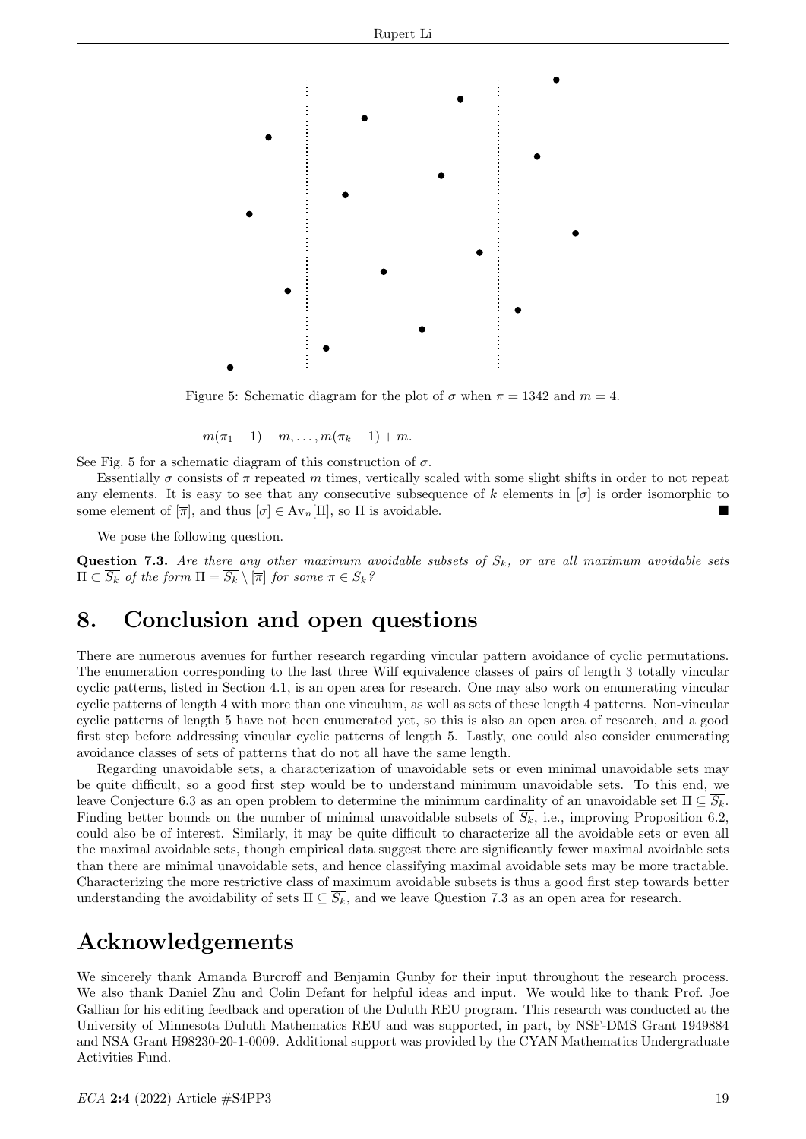

Figure 5: Schematic diagram for the plot of  $\sigma$  when  $\pi = 1342$  and  $m = 4$ .

$$
m(\pi_1-1)+m,\ldots,m(\pi_k-1)+m.
$$

See Fig. 5 for a schematic diagram of this construction of  $\sigma$ .

Essentially  $\sigma$  consists of  $\pi$  repeated m times, vertically scaled with some slight shifts in order to not repeat any elements. It is easy to see that any consecutive subsequence of k elements in  $[\sigma]$  is order isomorphic to some element of  $[\overline{\pi}]$ , and thus  $[\sigma] \in \mathrm{Av}_n[\Pi]$ , so  $\Pi$  is avoidable.

We pose the following question.

**Question 7.3.** Are there any other maximum avoidable subsets of  $S_k$ , or are all maximum avoidable sets  $\Pi\subset S_k$  of the form  $\Pi=S_k\setminus [\overline{\pi}]$  for some  $\pi\in S_k$ ?

# 8. Conclusion and open questions

There are numerous avenues for further research regarding vincular pattern avoidance of cyclic permutations. The enumeration corresponding to the last three Wilf equivalence classes of pairs of length 3 totally vincular cyclic patterns, listed in Section 4.1, is an open area for research. One may also work on enumerating vincular cyclic patterns of length 4 with more than one vinculum, as well as sets of these length 4 patterns. Non-vincular cyclic patterns of length 5 have not been enumerated yet, so this is also an open area of research, and a good first step before addressing vincular cyclic patterns of length 5. Lastly, one could also consider enumerating avoidance classes of sets of patterns that do not all have the same length.

Regarding unavoidable sets, a characterization of unavoidable sets or even minimal unavoidable sets may be quite difficult, so a good first step would be to understand minimum unavoidable sets. To this end, we leave Conjecture 6.3 as an open problem to determine the minimum cardinality of an unavoidable set  $\Pi \subseteq S_k$ . Finding better bounds on the number of minimal unavoidable subsets of  $\overline{S_k}$ , i.e., improving Proposition 6.2, could also be of interest. Similarly, it may be quite difficult to characterize all the avoidable sets or even all the maximal avoidable sets, though empirical data suggest there are significantly fewer maximal avoidable sets than there are minimal unavoidable sets, and hence classifying maximal avoidable sets may be more tractable. Characterizing the more restrictive class of maximum avoidable subsets is thus a good first step towards better understanding the avoidability of sets  $\Pi \subseteq \overline{S_k}$ , and we leave Question 7.3 as an open area for research.

# Acknowledgements

We sincerely thank Amanda Burcroff and Benjamin Gunby for their input throughout the research process. We also thank Daniel Zhu and Colin Defant for helpful ideas and input. We would like to thank Prof. Joe Gallian for his editing feedback and operation of the Duluth REU program. This research was conducted at the University of Minnesota Duluth Mathematics REU and was supported, in part, by NSF-DMS Grant 1949884 and NSA Grant H98230-20-1-0009. Additional support was provided by the CYAN Mathematics Undergraduate Activities Fund.